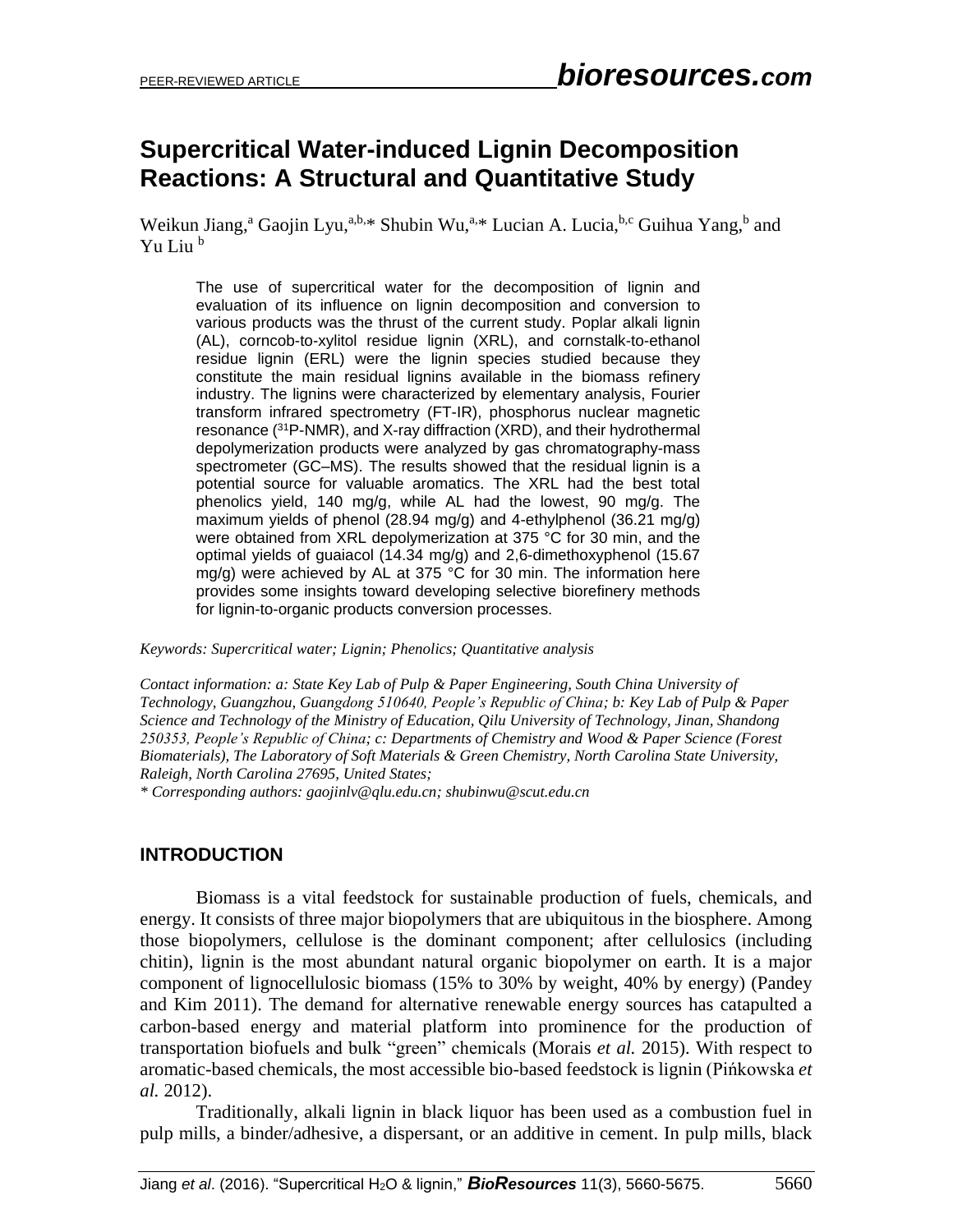# **Supercritical Water-induced Lignin Decomposition Reactions: A Structural and Quantitative Study**

Weikun Jiang,<sup>a</sup> Gaojin Lyu,<sup>a,b,\*</sup> Shubin Wu,<sup>a,\*</sup> Lucian A. Lucia,<sup>b,c</sup> Guihua Yang,<sup>b</sup> and Yu Liu <sup>b</sup>

The use of supercritical water for the decomposition of lignin and evaluation of its influence on lignin decomposition and conversion to various products was the thrust of the current study. Poplar alkali lignin (AL), corncob-to-xylitol residue lignin (XRL), and cornstalk-to-ethanol residue lignin (ERL) were the lignin species studied because they constitute the main residual lignins available in the biomass refinery industry. The lignins were characterized by elementary analysis, Fourier transform infrared spectrometry (FT-IR), phosphorus nuclear magnetic resonance (<sup>31</sup>P-NMR), and X-ray diffraction (XRD), and their hydrothermal depolymerization products were analyzed by gas chromatography-mass spectrometer (GC–MS). The results showed that the residual lignin is a potential source for valuable aromatics. The XRL had the best total phenolics yield, 140 mg/g, while AL had the lowest, 90 mg/g. The maximum yields of phenol (28.94 mg/g) and 4-ethylphenol (36.21 mg/g) were obtained from XRL depolymerization at 375 °C for 30 min, and the optimal yields of guaiacol (14.34 mg/g) and 2,6-dimethoxyphenol (15.67 mg/g) were achieved by AL at 375 °C for 30 min. The information here provides some insights toward developing selective biorefinery methods for lignin-to-organic products conversion processes.

*Keywords: Supercritical water; Lignin; Phenolics; Quantitative analysis*

*Contact information: a: State Key Lab of Pulp & Paper Engineering, South China University of Technology, Guangzhou, Guangdong 510640, People's Republic of China; b: Key Lab of Pulp & Paper Science and Technology of the Ministry of Education, Qilu University of Technology, Jinan, Shandong 250353, People's Republic of China; c: Departments of Chemistry and Wood & Paper Science (Forest Biomaterials), The Laboratory of Soft Materials & Green Chemistry, North Carolina State University, Raleigh, North Carolina 27695, United States;*

*\* Corresponding authors: gaojinlv@qlu.edu.cn; shubinwu@scut.edu.cn*

# **INTRODUCTION**

Biomass is a vital feedstock for sustainable production of fuels, chemicals, and energy. It consists of three major biopolymers that are ubiquitous in the biosphere. Among those biopolymers, cellulose is the dominant component; after cellulosics (including chitin), lignin is the most abundant natural organic biopolymer on earth. It is a major component of lignocellulosic biomass (15% to 30% by weight, 40% by energy) (Pandey and Kim 2011). The demand for alternative renewable energy sources has catapulted a carbon-based energy and material platform into prominence for the production of transportation biofuels and bulk "green" chemicals (Morais *et al.* 2015). With respect to aromatic-based chemicals, the most accessible bio-based feedstock is lignin (Pińkowska *et al.* 2012).

Traditionally, alkali lignin in black liquor has been used as a combustion fuel in pulp mills, a binder/adhesive, a dispersant, or an additive in cement. In pulp mills, black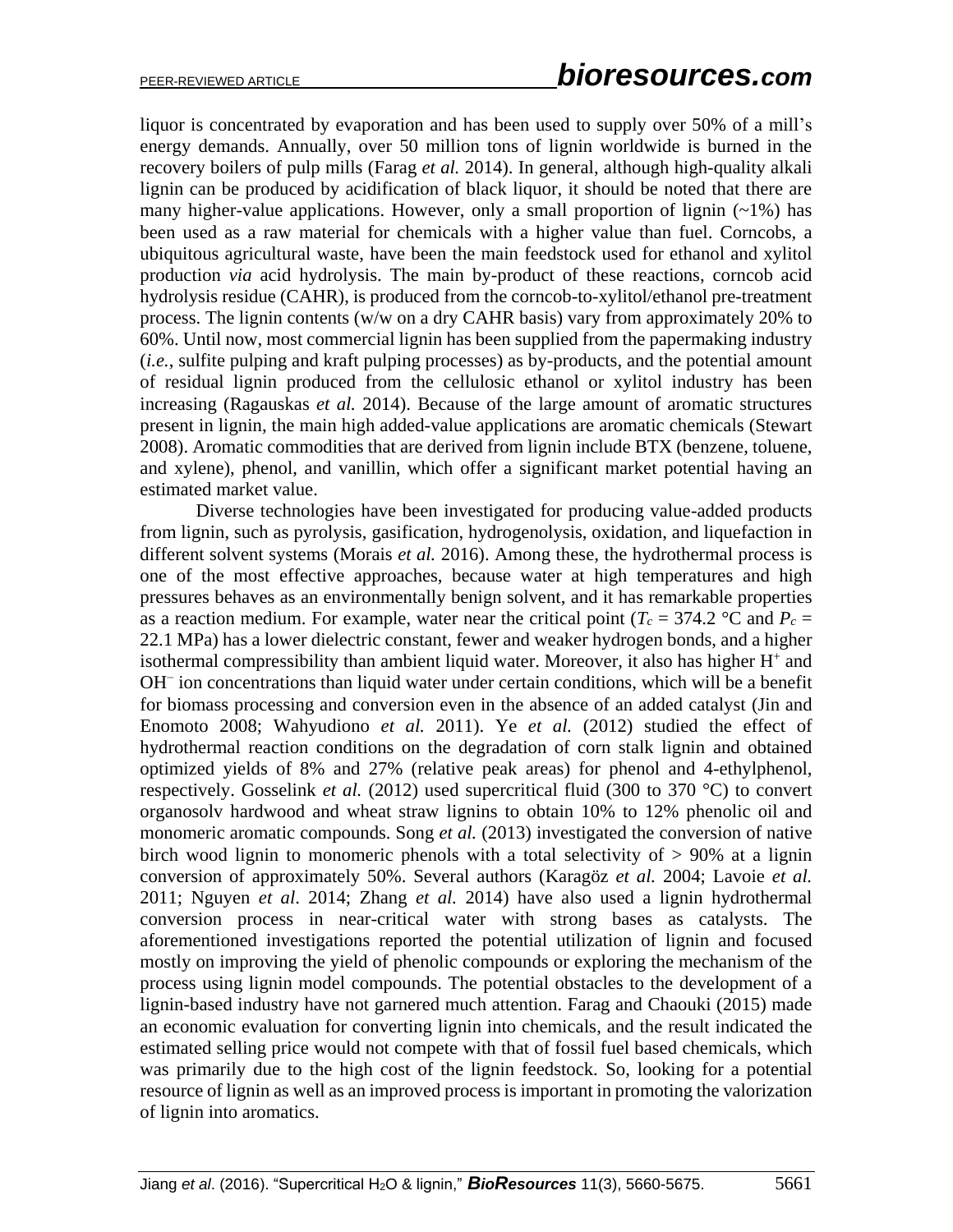liquor is concentrated by evaporation and has been used to supply over 50% of a mill's energy demands. Annually, over 50 million tons of lignin worldwide is burned in the recovery boilers of pulp mills (Farag *et al.* 2014). In general, although high-quality alkali lignin can be produced by acidification of black liquor, it should be noted that there are many higher-value applications. However, only a small proportion of lignin  $(-1\%)$  has been used as a raw material for chemicals with a higher value than fuel. Corncobs, a ubiquitous agricultural waste, have been the main feedstock used for ethanol and xylitol production *via* acid hydrolysis. The main by-product of these reactions, corncob acid hydrolysis residue (CAHR), is produced from the corncob-to-xylitol/ethanol pre-treatment process. The lignin contents (w/w on a dry CAHR basis) vary from approximately 20% to 60%. Until now, most commercial lignin has been supplied from the papermaking industry (*i.e.*, sulfite pulping and kraft pulping processes) as by-products, and the potential amount of residual lignin produced from the cellulosic ethanol or xylitol industry has been increasing (Ragauskas *et al.* 2014). Because of the large amount of aromatic structures present in lignin, the main high added-value applications are aromatic chemicals (Stewart 2008). Aromatic commodities that are derived from lignin include BTX (benzene, toluene, and xylene), phenol, and vanillin, which offer a significant market potential having an estimated market value.

Diverse technologies have been investigated for producing value-added products from lignin, such as pyrolysis, gasification, hydrogenolysis, oxidation, and liquefaction in different solvent systems (Morais *et al.* 2016). Among these, the hydrothermal process is one of the most effective approaches, because water at high temperatures and high pressures behaves as an environmentally benign solvent, and it has remarkable properties as a reaction medium. For example, water near the critical point ( $T_c = 374.2$  °C and  $P_c =$ 22.1 MPa) has a lower dielectric constant, fewer and weaker hydrogen bonds, and a higher isothermal compressibility than ambient liquid water. Moreover, it also has higher  $H<sup>+</sup>$  and OH<sup>−</sup> ion concentrations than liquid water under certain conditions, which will be a benefit for biomass processing and conversion even in the absence of an added catalyst (Jin and Enomoto 2008; Wahyudiono *et al.* 2011). Ye *et al.* (2012) studied the effect of hydrothermal reaction conditions on the degradation of corn stalk lignin and obtained optimized yields of 8% and 27% (relative peak areas) for phenol and 4-ethylphenol, respectively. Gosselink *et al.* (2012) used supercritical fluid (300 to 370 °C) to convert organosolv hardwood and wheat straw lignins to obtain 10% to 12% phenolic oil and monomeric aromatic compounds. Song *et al.* (2013) investigated the conversion of native birch wood lignin to monomeric phenols with a total selectivity of  $> 90\%$  at a lignin conversion of approximately 50%. Several authors (Karagöz *et al.* 2004; Lavoie *et al.* 2011; Nguyen *et al*. 2014; Zhang *et al.* 2014) have also used a lignin hydrothermal conversion process in near-critical water with strong bases as catalysts. The aforementioned investigations reported the potential utilization of lignin and focused mostly on improving the yield of phenolic compounds or exploring the mechanism of the process using lignin model compounds. The potential obstacles to the development of a lignin-based industry have not garnered much attention. Farag and Chaouki (2015) made an economic evaluation for converting lignin into chemicals, and the result indicated the estimated selling price would not compete with that of fossil fuel based chemicals, which was primarily due to the high cost of the lignin feedstock. So, looking for a potential resource of lignin as well as an improved process is important in promoting the valorization of lignin into aromatics.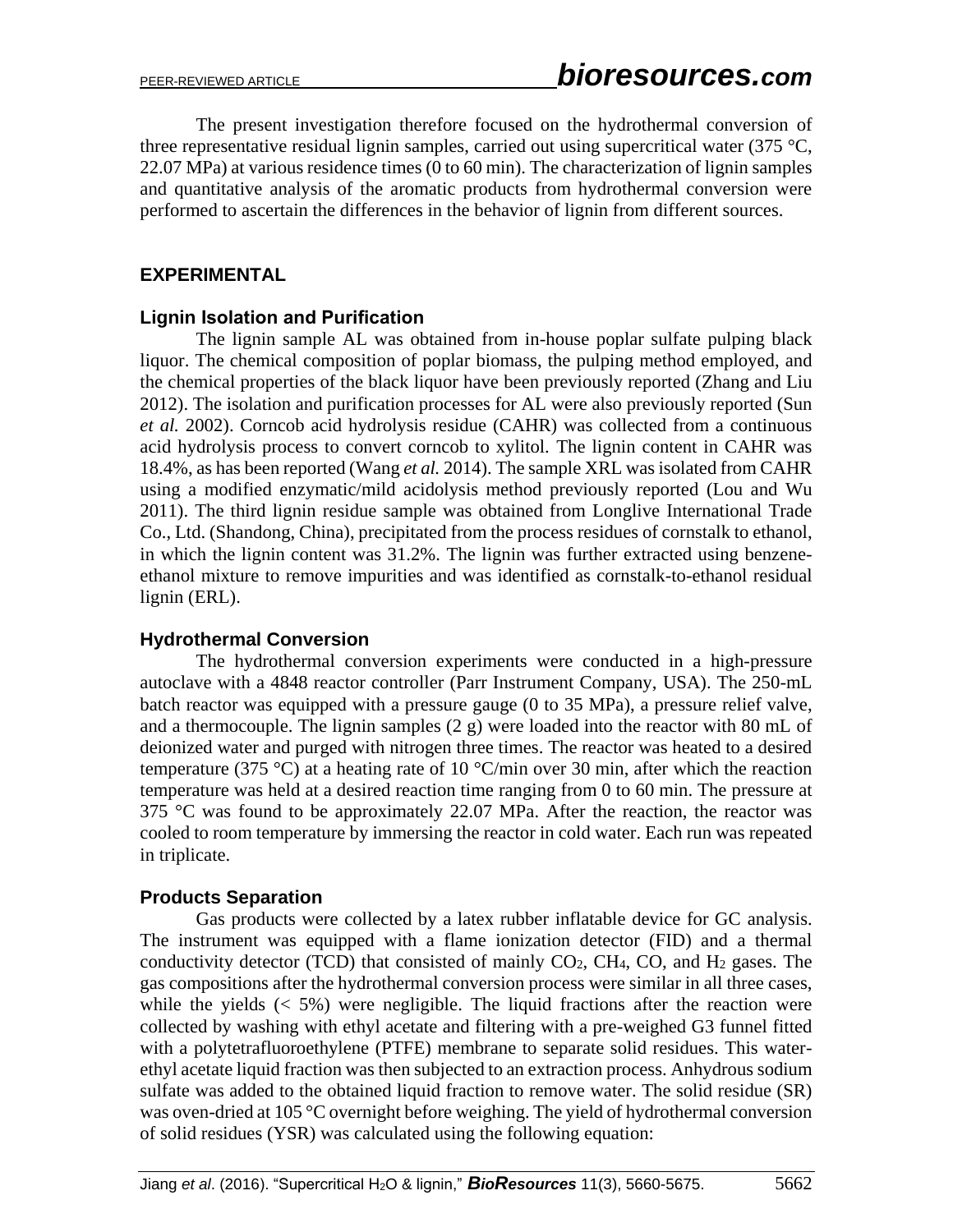The present investigation therefore focused on the hydrothermal conversion of three representative residual lignin samples, carried out using supercritical water (375  $\degree$ C, 22.07 MPa) at various residence times (0 to 60 min). The characterization of lignin samples and quantitative analysis of the aromatic products from hydrothermal conversion were performed to ascertain the differences in the behavior of lignin from different sources.

### **EXPERIMENTAL**

#### **Lignin Isolation and Purification**

The lignin sample AL was obtained from in-house poplar sulfate pulping black liquor. The chemical composition of poplar biomass, the pulping method employed, and the chemical properties of the black liquor have been previously reported (Zhang and Liu 2012). The isolation and purification processes for AL were also previously reported (Sun *et al.* 2002). Corncob acid hydrolysis residue (CAHR) was collected from a continuous acid hydrolysis process to convert corncob to xylitol. The lignin content in CAHR was 18.4%, as has been reported (Wang *et al.* 2014). The sample XRL was isolated from CAHR using a modified enzymatic/mild acidolysis method previously reported (Lou and Wu 2011). The third lignin residue sample was obtained from Longlive International Trade Co., Ltd. (Shandong, China), precipitated from the process residues of cornstalk to ethanol, in which the lignin content was 31.2%. The lignin was further extracted using benzeneethanol mixture to remove impurities and was identified as cornstalk-to-ethanol residual lignin (ERL).

#### **Hydrothermal Conversion**

The hydrothermal conversion experiments were conducted in a high-pressure autoclave with a 4848 reactor controller (Parr Instrument Company, USA). The 250-mL batch reactor was equipped with a pressure gauge (0 to 35 MPa), a pressure relief valve, and a thermocouple. The lignin samples (2 g) were loaded into the reactor with 80 mL of deionized water and purged with nitrogen three times. The reactor was heated to a desired temperature (375 °C) at a heating rate of 10 °C/min over 30 min, after which the reaction temperature was held at a desired reaction time ranging from 0 to 60 min. The pressure at 375  $\degree$ C was found to be approximately 22.07 MPa. After the reaction, the reactor was cooled to room temperature by immersing the reactor in cold water. Each run was repeated in triplicate.

# **Products Separation**

Gas products were collected by a latex rubber inflatable device for GC analysis. The instrument was equipped with a flame ionization detector (FID) and a thermal conductivity detector (TCD) that consisted of mainly CO2, CH4, CO, and H<sup>2</sup> gases. The gas compositions after the hydrothermal conversion process were similar in all three cases, while the yields  $(< 5\%)$  were negligible. The liquid fractions after the reaction were collected by washing with ethyl acetate and filtering with a pre-weighed G3 funnel fitted with a polytetrafluoroethylene (PTFE) membrane to separate solid residues. This waterethyl acetate liquid fraction was then subjected to an extraction process. Anhydrous sodium sulfate was added to the obtained liquid fraction to remove water. The solid residue (SR) was oven-dried at 105 °C overnight before weighing. The yield of hydrothermal conversion of solid residues (YSR) was calculated using the following equation: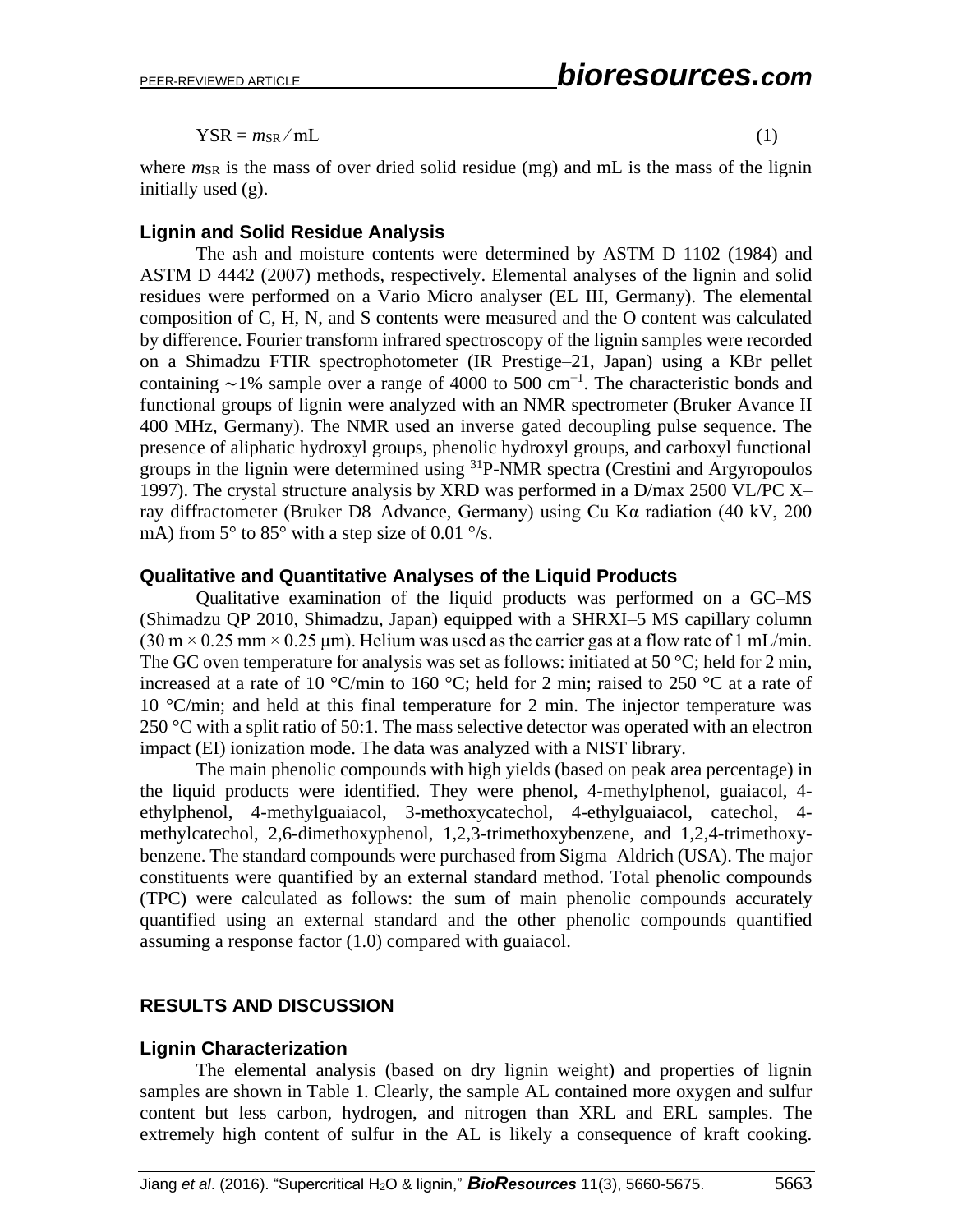$YSR = m_{SR}/mL$  (1)

where *m*<sub>SR</sub> is the mass of over dried solid residue (mg) and mL is the mass of the lignin initially used (g).

#### **Lignin and Solid Residue Analysis**

The ash and moisture contents were determined by ASTM D 1102 (1984) and ASTM D 4442 (2007) methods, respectively. Elemental analyses of the lignin and solid residues were performed on a Vario Micro analyser (EL III, Germany). The elemental composition of C, H, N, and S contents were measured and the O content was calculated by difference. Fourier transform infrared spectroscopy of the lignin samples were recorded on a Shimadzu FTIR spectrophotometer (IR Prestige–21, Japan) using a KBr pellet containing  $\sim$ 1% sample over a range of 4000 to 500 cm<sup>-1</sup>. The characteristic bonds and functional groups of lignin were analyzed with an NMR spectrometer (Bruker Avance II 400 MHz, Germany). The NMR used an inverse gated decoupling pulse sequence. The presence of aliphatic hydroxyl groups, phenolic hydroxyl groups, and carboxyl functional groups in the lignin were determined using <sup>31</sup>P-NMR spectra (Crestini and Argyropoulos 1997). The crystal structure analysis by XRD was performed in a D/max 2500 VL/PC X– ray diffractometer (Bruker D8–Advance, Germany) using Cu Kα radiation (40 kV, 200 mA) from  $5^{\circ}$  to  $85^{\circ}$  with a step size of 0.01  $\degree$ /s.

#### **Qualitative and Quantitative Analyses of the Liquid Products**

Qualitative examination of the liquid products was performed on a GC–MS (Shimadzu QP 2010, Shimadzu, Japan) equipped with a SHRXI–5 MS capillary column  $(30 \text{ m} \times 0.25 \text{ mm} \times 0.25 \text{ \mu m})$ . Helium was used as the carrier gas at a flow rate of 1 mL/min. The GC oven temperature for analysis was set as follows: initiated at 50  $\degree$ C; held for 2 min, increased at a rate of 10 °C/min to 160 °C; held for 2 min; raised to 250 °C at a rate of 10 °C/min; and held at this final temperature for 2 min. The injector temperature was 250 °C with a split ratio of 50:1. The mass selective detector was operated with an electron impact (EI) ionization mode. The data was analyzed with a NIST library.

The main phenolic compounds with high yields (based on peak area percentage) in the liquid products were identified. They were phenol, 4-methylphenol, guaiacol, 4 ethylphenol, 4-methylguaiacol, 3-methoxycatechol, 4-ethylguaiacol, catechol, 4 methylcatechol, 2,6-dimethoxyphenol, 1,2,3-trimethoxybenzene, and 1,2,4-trimethoxybenzene. The standard compounds were purchased from Sigma–Aldrich (USA). The major constituents were quantified by an external standard method. Total phenolic compounds (TPC) were calculated as follows: the sum of main phenolic compounds accurately quantified using an external standard and the other phenolic compounds quantified assuming a response factor (1.0) compared with guaiacol.

# **RESULTS AND DISCUSSION**

# **Lignin Characterization**

The elemental analysis (based on dry lignin weight) and properties of lignin samples are shown in Table 1. Clearly, the sample AL contained more oxygen and sulfur content but less carbon, hydrogen, and nitrogen than XRL and ERL samples. The extremely high content of sulfur in the AL is likely a consequence of kraft cooking.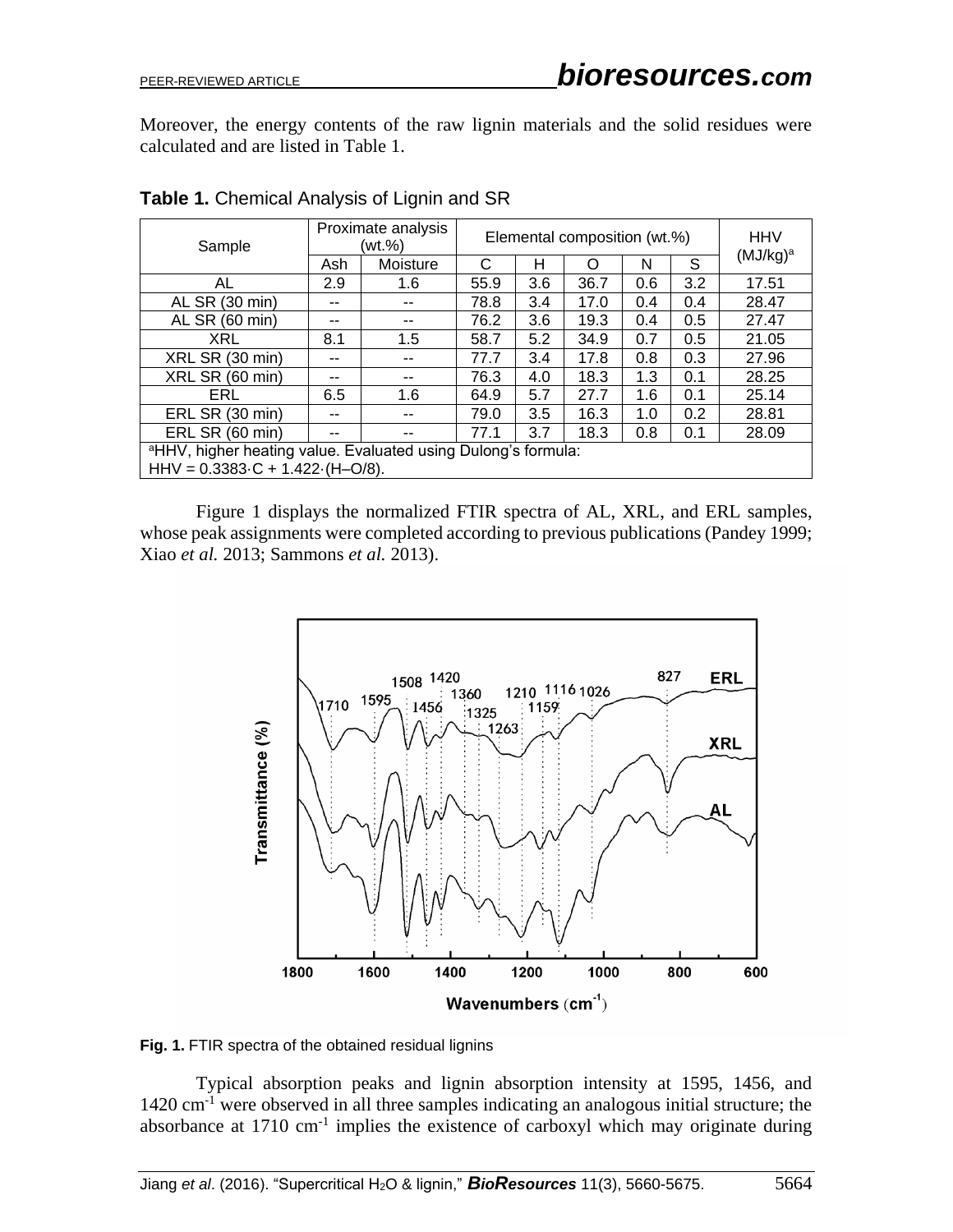Moreover, the energy contents of the raw lignin materials and the solid residues were calculated and are listed in Table 1.

| Sample                                                                                                                        | Proximate analysis<br>(wt.%) |          | Elemental composition (wt.%) |     |      |     |     | <b>HHV</b>  |  |
|-------------------------------------------------------------------------------------------------------------------------------|------------------------------|----------|------------------------------|-----|------|-----|-----|-------------|--|
|                                                                                                                               | Ash                          | Moisture | C                            | н   | Ω    | N   | S   | $(MJ/kg)^a$ |  |
| AL                                                                                                                            | 2.9                          | 1.6      | 55.9                         | 3.6 | 36.7 | 0.6 | 3.2 | 17.51       |  |
| AL SR (30 min)                                                                                                                | --                           | --       | 78.8                         | 3.4 | 17.0 | 0.4 | 0.4 | 28.47       |  |
| AL SR (60 min)                                                                                                                | --                           | --       | 76.2                         | 3.6 | 19.3 | 0.4 | 0.5 | 27.47       |  |
| <b>XRL</b>                                                                                                                    | 8.1                          | 1.5      | 58.7                         | 5.2 | 34.9 | 0.7 | 0.5 | 21.05       |  |
| XRL SR (30 min)                                                                                                               |                              |          | 77.7                         | 3.4 | 17.8 | 0.8 | 0.3 | 27.96       |  |
| XRL SR (60 min)                                                                                                               | --                           | --       | 76.3                         | 4.0 | 18.3 | 1.3 | 0.1 | 28.25       |  |
| ERL                                                                                                                           | 6.5                          | 1.6      | 64.9                         | 5.7 | 27.7 | 1.6 | 0.1 | 25.14       |  |
| ERL SR (30 min)                                                                                                               |                              | --       | 79.0                         | 3.5 | 16.3 | 1.0 | 0.2 | 28.81       |  |
| ERL SR (60 min)                                                                                                               | --                           |          | 77.1                         | 3.7 | 18.3 | 0.8 | 0.1 | 28.09       |  |
| <sup>a</sup> HHV, higher heating value. Evaluated using Dulong's formula:<br>$HHV = 0.3383 \cdot C + 1.422 \cdot (H - O/8)$ . |                              |          |                              |     |      |     |     |             |  |

**Table 1.** Chemical Analysis of Lignin and SR

Figure 1 displays the normalized FTIR spectra of AL, XRL, and ERL samples, whose peak assignments were completed according to previous publications (Pandey 1999; Xiao *et al.* 2013; Sammons *et al.* 2013).



**Fig. 1.** FTIR spectra of the obtained residual lignins

Typical absorption peaks and lignin absorption intensity at 1595, 1456, and 1420 cm-1 were observed in all three samples indicating an analogous initial structure; the absorbance at  $1710 \text{ cm}^{-1}$  implies the existence of carboxyl which may originate during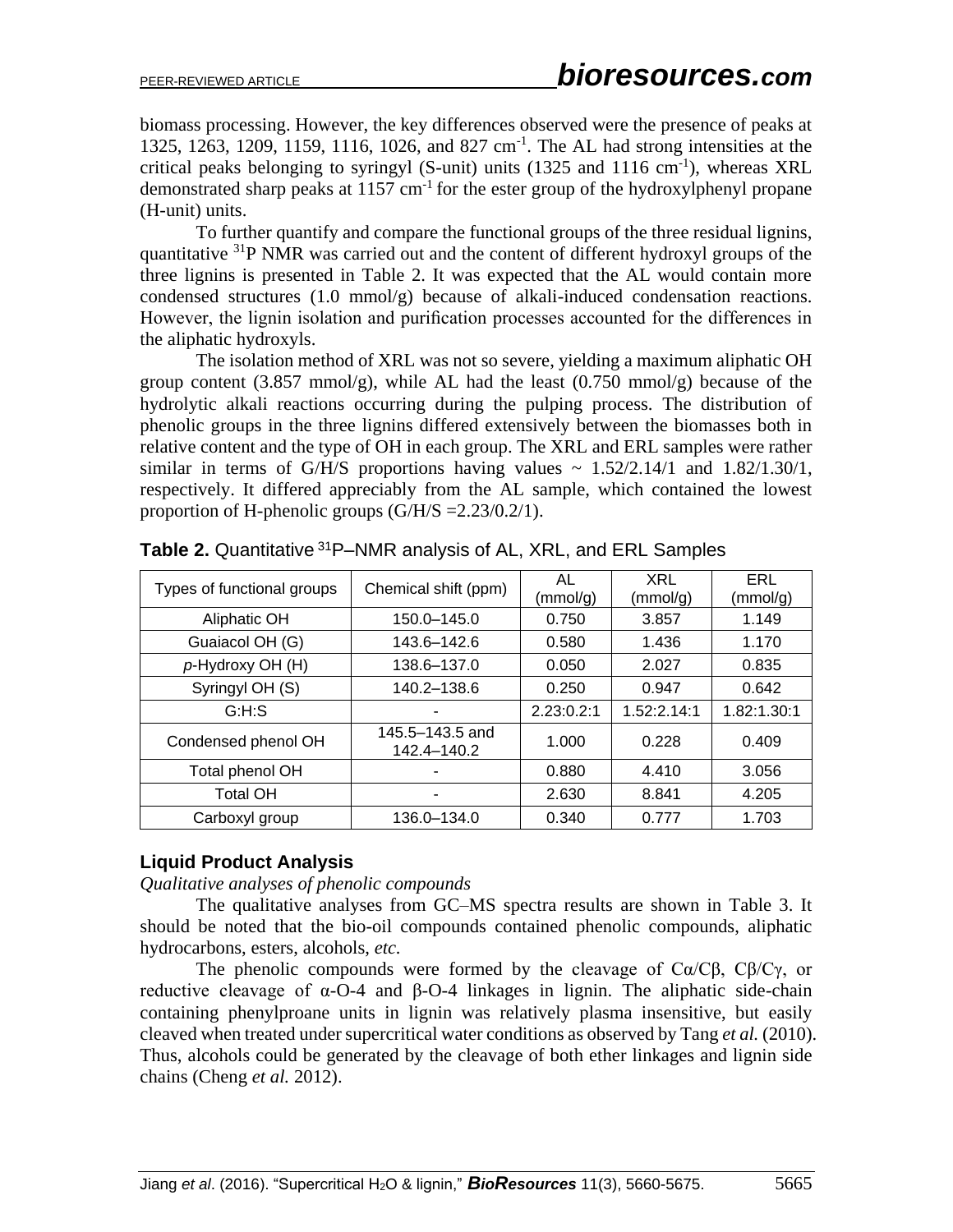biomass processing. However, the key differences observed were the presence of peaks at 1325, 1263, 1209, 1159, 1116, 1026, and 827 cm<sup>-1</sup>. The AL had strong intensities at the critical peaks belonging to syringyl (S-unit) units  $(1325 \text{ and } 1116 \text{ cm}^{-1})$ , whereas XRL demonstrated sharp peaks at  $1157 \text{ cm}^{-1}$  for the ester group of the hydroxylphenyl propane (H-unit) units.

To further quantify and compare the functional groups of the three residual lignins, quantitative <sup>31</sup>P NMR was carried out and the content of different hydroxyl groups of the three lignins is presented in Table 2. It was expected that the AL would contain more condensed structures (1.0 mmol/g) because of alkali-induced condensation reactions. However, the lignin isolation and purification processes accounted for the differences in the aliphatic hydroxyls.

The isolation method of XRL was not so severe, yielding a maximum aliphatic OH group content  $(3.857 \text{ mmol/g})$ , while AL had the least  $(0.750 \text{ mmol/g})$  because of the hydrolytic alkali reactions occurring during the pulping process. The distribution of phenolic groups in the three lignins differed extensively between the biomasses both in relative content and the type of OH in each group. The XRL and ERL samples were rather similar in terms of G/H/S proportions having values  $\sim 1.52/2.14/1$  and  $1.82/1.30/1$ , respectively. It differed appreciably from the AL sample, which contained the lowest proportion of H-phenolic groups (G/H/S =2.23/0.2/1).

| Types of functional groups | Chemical shift (ppm)           | AL<br>(mmol/g) | XRL<br>(mmol/g) | ERL<br>(mmol/g) |
|----------------------------|--------------------------------|----------------|-----------------|-----------------|
| Aliphatic OH               | 150.0-145.0                    | 0.750          | 3.857           | 1.149           |
| Guaiacol OH (G)            | 143.6-142.6                    | 0.580          | 1.436           | 1.170           |
| p-Hydroxy OH (H)           | 138.6-137.0                    | 0.050          | 2.027           | 0.835           |
| Syringyl OH (S)            | 140.2-138.6                    | 0.250          | 0.947           | 0.642           |
| G:H:S                      |                                | 2.23:0.2:1     | 1.52:2.14:1     | 1.82:1.30:1     |
| Condensed phenol OH        | 145.5–143.5 and<br>142.4-140.2 | 1.000          | 0.228           | 0.409           |
| Total phenol OH            |                                | 0.880          | 4.410           | 3.056           |
| <b>Total OH</b>            |                                | 2.630          | 8.841           | 4.205           |
| Carboxyl group             | 136.0-134.0                    | 0.340          | 0.777           | 1.703           |

**Table 2.** Quantitative <sup>31</sup>P–NMR analysis of AL, XRL, and ERL Samples

#### **Liquid Product Analysis**

*Qualitative analyses of phenolic compounds*

The qualitative analyses from GC–MS spectra results are shown in Table 3. It should be noted that the bio-oil compounds contained phenolic compounds, aliphatic hydrocarbons, esters, alcohols, *etc.*

The phenolic compounds were formed by the cleavage of  $Ca/C\beta$ ,  $C\beta/C\gamma$ , or reductive cleavage of  $α$ -O-4 and  $β$ -O-4 linkages in lignin. The aliphatic side-chain containing phenylproane units in lignin was relatively plasma insensitive, but easily cleaved when treated under supercritical water conditions as observed by Tang *et al.* (2010). Thus, alcohols could be generated by the cleavage of both ether linkages and lignin side chains (Cheng *et al.* 2012).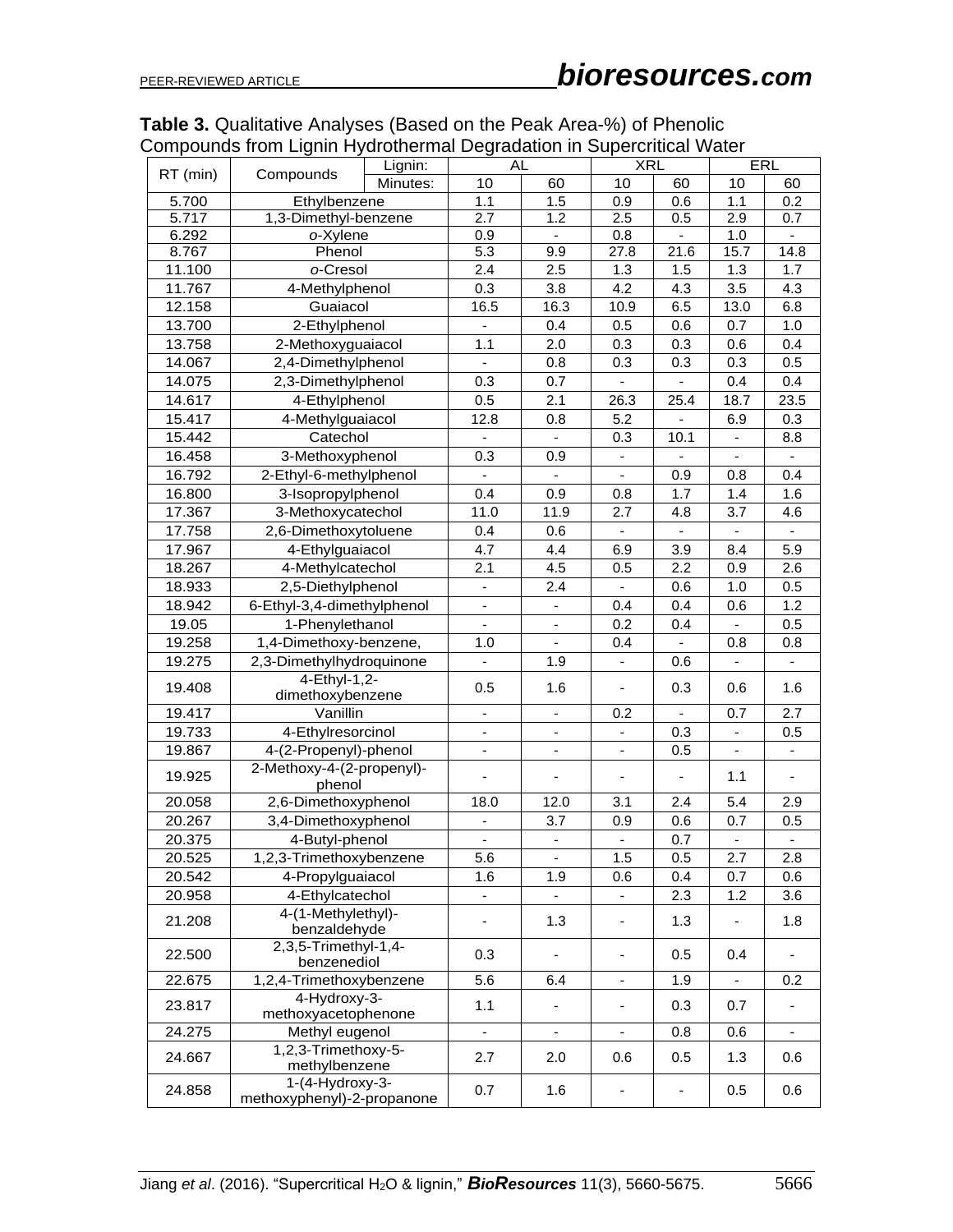| <b>AL</b><br><b>XRL</b><br>ERL<br>Lignin:<br>RT (min)<br>Compounds<br>60<br>10<br>Minutes:<br>10<br>10<br>60<br>60<br>5.700<br>Ethylbenzene<br>1.1<br>1.5<br>$\overline{0.9}$<br>0.6<br>1.1<br>0.2<br>5.717<br>1,3-Dimethyl-benzene<br>2.7<br>2.5<br>2.9<br>1.2<br>0.5<br>0.7<br>6.292<br>o-Xylene<br>0.9<br>0.8<br>1.0<br>$\blacksquare$<br>$\overline{\phantom{a}}$<br>$\blacksquare$<br>5.3<br>9.9<br>21.6<br>8.767<br>Phenol<br>27.8<br>15.7<br>14.8<br>2.4<br>2.5<br>11.100<br>o-Cresol<br>1.5<br>1.3<br>1.7<br>1.3<br>3.5<br>0.3<br>3.8<br>4.3<br>4.3<br>11.767<br>4-Methylphenol<br>4.2<br>Guaiacol<br>16.5<br>16.3<br>6.5<br>13.0<br>6.8<br>12.158<br>10.9<br>13.700<br>2-Ethylphenol<br>0.4<br>0.7<br>1.0<br>0.5<br>0.6<br>13.758<br>2-Methoxyguaiacol<br>1.1<br>0.3<br>2.0<br>0.3<br>0.6<br>0.4<br>2,4-Dimethylphenol<br>0.8<br>14.067<br>0.3<br>0.3<br>0.3<br>0.5<br>2,3-Dimethylphenol<br>0.3<br>0.7<br>0.4<br>14.075<br>0.4<br>4-Ethylphenol<br>0.5<br>2.1<br>26.3<br>25.4<br>23.5<br>14.617<br>18.7<br>15.417<br>4-Methylguaiacol<br>0.3<br>12.8<br>0.8<br>5.2<br>6.9<br>15.442<br>Catechol<br>10.1<br>0.3<br>8.8<br>$\blacksquare$<br>$\overline{\phantom{a}}$<br>3-Methoxyphenol<br>0.3<br>16.458<br>0.9<br>$\blacksquare$<br>$\blacksquare$<br>16.792<br>2-Ethyl-6-methylphenol<br>0.4<br>0.9<br>0.8<br>$\blacksquare$<br>$\blacksquare$<br>3-Isopropylphenol<br>0.4<br>0.9<br>16.800<br>0.8<br>1.7<br>1.6<br>1.4<br>17.367<br>3-Methoxycatechol<br>11.0<br>3.7<br>11.9<br>4.6<br>2.7<br>4.8<br>17.758<br>2,6-Dimethoxytoluene<br>0.4<br>0.6<br>$\overline{\phantom{a}}$<br>$\blacksquare$<br>4-Ethylguaiacol<br>4.7<br>4.4<br>3.9<br>8.4<br>5.9<br>17.967<br>6.9<br>18.267<br>4-Methylcatechol<br>4.5<br>2.6<br>2.1<br>2.2<br>0.9<br>0.5<br>2,5-Diethylphenol<br>0.5<br>18.933<br>2.4<br>0.6<br>1.0<br>6-Ethyl-3,4-dimethylphenol<br>1.2<br>18.942<br>0.4<br>0.4<br>0.6<br>ä,<br>19.05<br>1-Phenylethanol<br>0.5<br>0.2<br>0.4<br>$\blacksquare$<br>19.258<br>1,4-Dimethoxy-benzene,<br>1.0<br>0.4<br>0.8<br>0.8<br>$\blacksquare$<br>$\blacksquare$<br>2,3-Dimethylhydroquinone<br>19.275<br>1.9<br>0.6<br>4-Ethyl-1,2-<br>19.408<br>0.5<br>1.6<br>0.3<br>0.6<br>1.6<br>$\overline{\phantom{a}}$<br>dimethoxybenzene<br>2.7<br>19.417<br>Vanillin<br>0.7<br>0.2<br>$\blacksquare$<br>$\blacksquare$<br>÷,<br>19.733<br>4-Ethylresorcinol<br>0.3<br>0.5<br>$\blacksquare$<br>$\blacksquare$<br>$\blacksquare$<br>$\blacksquare$<br>4-(2-Propenyl)-phenol<br>19.867<br>0.5<br>$\blacksquare$<br>÷.<br>$\blacksquare$<br>$\blacksquare$<br>$\overline{\phantom{a}}$<br>2-Methoxy-4-(2-propenyl)-<br>19.925<br>1.1<br>$\overline{\phantom{a}}$<br>$\blacksquare$<br>$\overline{\phantom{0}}$<br>-<br>$\overline{\phantom{a}}$<br>phenol<br>2,6-Dimethoxyphenol<br>5.4<br>2.9<br>20.058<br>18.0<br>12.0<br>3.1<br>2.4<br>20.267<br>3,4-Dimethoxyphenol<br>3.7<br>0.6<br>0.7<br>0.5<br>0.9<br>-<br>0.7<br>20.375<br>4-Butyl-phenol<br>÷,<br>÷,<br>$\overline{\phantom{a}}$<br>20.525<br>1,2,3-Trimethoxybenzene<br>5.6<br>1.5<br>0.5<br>2.7<br>2.8<br>$\overline{\phantom{a}}$<br>4-Propylguaiacol<br>20.542<br>1.6<br>1.9<br>0.4<br>0.7<br>0.6<br>0.6<br>4-Ethylcatechol<br>20.958<br>1.2<br>3.6<br>2.3<br>۳<br>4-(1-Methylethyl)-<br>21.208<br>1.3<br>1.3<br>1.8<br>$\blacksquare$<br>$\overline{\phantom{0}}$<br>$\blacksquare$<br>benzaldehyde<br>2,3,5-Trimethyl-1,4-<br>0.3<br>22.500<br>0.5<br>0.4<br>$\overline{\phantom{a}}$<br>benzenediol<br>1,2,4-Trimethoxybenzene<br>5.6<br>22.675<br>6.4<br>1.9<br>0.2<br>$\blacksquare$<br>4-Hydroxy-3-<br>1.1<br>0.3<br>0.7<br>23.817<br>$\overline{\phantom{a}}$<br>methoxyacetophenone<br>24.275<br>Methyl eugenol<br>0.8<br>0.6<br>$\blacksquare$<br>$\blacksquare$<br>$\blacksquare$<br>÷,<br>1,2,3-Trimethoxy-5-<br>2.7<br>24.667<br>2.0<br>0.6<br>0.5<br>1.3<br>0.6<br>methylbenzene<br>1-(4-Hydroxy-3-<br>0.7<br>1.6<br>0.6<br>24.858<br>0.5<br>$\overline{\phantom{a}}$<br>methoxyphenyl)-2-propanone |  | Compounds nom Lighin Hydrothermal Degradation in Superchitical Water |  |  |  |  |  |  |
|-----------------------------------------------------------------------------------------------------------------------------------------------------------------------------------------------------------------------------------------------------------------------------------------------------------------------------------------------------------------------------------------------------------------------------------------------------------------------------------------------------------------------------------------------------------------------------------------------------------------------------------------------------------------------------------------------------------------------------------------------------------------------------------------------------------------------------------------------------------------------------------------------------------------------------------------------------------------------------------------------------------------------------------------------------------------------------------------------------------------------------------------------------------------------------------------------------------------------------------------------------------------------------------------------------------------------------------------------------------------------------------------------------------------------------------------------------------------------------------------------------------------------------------------------------------------------------------------------------------------------------------------------------------------------------------------------------------------------------------------------------------------------------------------------------------------------------------------------------------------------------------------------------------------------------------------------------------------------------------------------------------------------------------------------------------------------------------------------------------------------------------------------------------------------------------------------------------------------------------------------------------------------------------------------------------------------------------------------------------------------------------------------------------------------------------------------------------------------------------------------------------------------------------------------------------------------------------------------------------------------------------------------------------------------------------------------------------------------------------------------------------------------------------------------------------------------------------------------------------------------------------------------------------------------------------------------------------------------------------------------------------------------------------------------------------------------------------------------------------------------------------------------------------------------------------------------------------------------------------------------------------------------------------------------------------------------------------------------------------------------------------------------------------------------------------------------------------------------------------------------------------------------------------------------------------------------------------------------------------------------------------------------------------------------------------------------------------------------------------------------------------------------------------------------------------------------------------------------------------------------------------------------------------------------------------------------------------------------------|--|----------------------------------------------------------------------|--|--|--|--|--|--|
|                                                                                                                                                                                                                                                                                                                                                                                                                                                                                                                                                                                                                                                                                                                                                                                                                                                                                                                                                                                                                                                                                                                                                                                                                                                                                                                                                                                                                                                                                                                                                                                                                                                                                                                                                                                                                                                                                                                                                                                                                                                                                                                                                                                                                                                                                                                                                                                                                                                                                                                                                                                                                                                                                                                                                                                                                                                                                                                                                                                                                                                                                                                                                                                                                                                                                                                                                                                                                                                                                                                                                                                                                                                                                                                                                                                                                                                                                                                                                                             |  |                                                                      |  |  |  |  |  |  |
|                                                                                                                                                                                                                                                                                                                                                                                                                                                                                                                                                                                                                                                                                                                                                                                                                                                                                                                                                                                                                                                                                                                                                                                                                                                                                                                                                                                                                                                                                                                                                                                                                                                                                                                                                                                                                                                                                                                                                                                                                                                                                                                                                                                                                                                                                                                                                                                                                                                                                                                                                                                                                                                                                                                                                                                                                                                                                                                                                                                                                                                                                                                                                                                                                                                                                                                                                                                                                                                                                                                                                                                                                                                                                                                                                                                                                                                                                                                                                                             |  |                                                                      |  |  |  |  |  |  |
|                                                                                                                                                                                                                                                                                                                                                                                                                                                                                                                                                                                                                                                                                                                                                                                                                                                                                                                                                                                                                                                                                                                                                                                                                                                                                                                                                                                                                                                                                                                                                                                                                                                                                                                                                                                                                                                                                                                                                                                                                                                                                                                                                                                                                                                                                                                                                                                                                                                                                                                                                                                                                                                                                                                                                                                                                                                                                                                                                                                                                                                                                                                                                                                                                                                                                                                                                                                                                                                                                                                                                                                                                                                                                                                                                                                                                                                                                                                                                                             |  |                                                                      |  |  |  |  |  |  |
|                                                                                                                                                                                                                                                                                                                                                                                                                                                                                                                                                                                                                                                                                                                                                                                                                                                                                                                                                                                                                                                                                                                                                                                                                                                                                                                                                                                                                                                                                                                                                                                                                                                                                                                                                                                                                                                                                                                                                                                                                                                                                                                                                                                                                                                                                                                                                                                                                                                                                                                                                                                                                                                                                                                                                                                                                                                                                                                                                                                                                                                                                                                                                                                                                                                                                                                                                                                                                                                                                                                                                                                                                                                                                                                                                                                                                                                                                                                                                                             |  |                                                                      |  |  |  |  |  |  |
|                                                                                                                                                                                                                                                                                                                                                                                                                                                                                                                                                                                                                                                                                                                                                                                                                                                                                                                                                                                                                                                                                                                                                                                                                                                                                                                                                                                                                                                                                                                                                                                                                                                                                                                                                                                                                                                                                                                                                                                                                                                                                                                                                                                                                                                                                                                                                                                                                                                                                                                                                                                                                                                                                                                                                                                                                                                                                                                                                                                                                                                                                                                                                                                                                                                                                                                                                                                                                                                                                                                                                                                                                                                                                                                                                                                                                                                                                                                                                                             |  |                                                                      |  |  |  |  |  |  |
|                                                                                                                                                                                                                                                                                                                                                                                                                                                                                                                                                                                                                                                                                                                                                                                                                                                                                                                                                                                                                                                                                                                                                                                                                                                                                                                                                                                                                                                                                                                                                                                                                                                                                                                                                                                                                                                                                                                                                                                                                                                                                                                                                                                                                                                                                                                                                                                                                                                                                                                                                                                                                                                                                                                                                                                                                                                                                                                                                                                                                                                                                                                                                                                                                                                                                                                                                                                                                                                                                                                                                                                                                                                                                                                                                                                                                                                                                                                                                                             |  |                                                                      |  |  |  |  |  |  |
|                                                                                                                                                                                                                                                                                                                                                                                                                                                                                                                                                                                                                                                                                                                                                                                                                                                                                                                                                                                                                                                                                                                                                                                                                                                                                                                                                                                                                                                                                                                                                                                                                                                                                                                                                                                                                                                                                                                                                                                                                                                                                                                                                                                                                                                                                                                                                                                                                                                                                                                                                                                                                                                                                                                                                                                                                                                                                                                                                                                                                                                                                                                                                                                                                                                                                                                                                                                                                                                                                                                                                                                                                                                                                                                                                                                                                                                                                                                                                                             |  |                                                                      |  |  |  |  |  |  |
|                                                                                                                                                                                                                                                                                                                                                                                                                                                                                                                                                                                                                                                                                                                                                                                                                                                                                                                                                                                                                                                                                                                                                                                                                                                                                                                                                                                                                                                                                                                                                                                                                                                                                                                                                                                                                                                                                                                                                                                                                                                                                                                                                                                                                                                                                                                                                                                                                                                                                                                                                                                                                                                                                                                                                                                                                                                                                                                                                                                                                                                                                                                                                                                                                                                                                                                                                                                                                                                                                                                                                                                                                                                                                                                                                                                                                                                                                                                                                                             |  |                                                                      |  |  |  |  |  |  |
|                                                                                                                                                                                                                                                                                                                                                                                                                                                                                                                                                                                                                                                                                                                                                                                                                                                                                                                                                                                                                                                                                                                                                                                                                                                                                                                                                                                                                                                                                                                                                                                                                                                                                                                                                                                                                                                                                                                                                                                                                                                                                                                                                                                                                                                                                                                                                                                                                                                                                                                                                                                                                                                                                                                                                                                                                                                                                                                                                                                                                                                                                                                                                                                                                                                                                                                                                                                                                                                                                                                                                                                                                                                                                                                                                                                                                                                                                                                                                                             |  |                                                                      |  |  |  |  |  |  |
|                                                                                                                                                                                                                                                                                                                                                                                                                                                                                                                                                                                                                                                                                                                                                                                                                                                                                                                                                                                                                                                                                                                                                                                                                                                                                                                                                                                                                                                                                                                                                                                                                                                                                                                                                                                                                                                                                                                                                                                                                                                                                                                                                                                                                                                                                                                                                                                                                                                                                                                                                                                                                                                                                                                                                                                                                                                                                                                                                                                                                                                                                                                                                                                                                                                                                                                                                                                                                                                                                                                                                                                                                                                                                                                                                                                                                                                                                                                                                                             |  |                                                                      |  |  |  |  |  |  |
|                                                                                                                                                                                                                                                                                                                                                                                                                                                                                                                                                                                                                                                                                                                                                                                                                                                                                                                                                                                                                                                                                                                                                                                                                                                                                                                                                                                                                                                                                                                                                                                                                                                                                                                                                                                                                                                                                                                                                                                                                                                                                                                                                                                                                                                                                                                                                                                                                                                                                                                                                                                                                                                                                                                                                                                                                                                                                                                                                                                                                                                                                                                                                                                                                                                                                                                                                                                                                                                                                                                                                                                                                                                                                                                                                                                                                                                                                                                                                                             |  |                                                                      |  |  |  |  |  |  |
|                                                                                                                                                                                                                                                                                                                                                                                                                                                                                                                                                                                                                                                                                                                                                                                                                                                                                                                                                                                                                                                                                                                                                                                                                                                                                                                                                                                                                                                                                                                                                                                                                                                                                                                                                                                                                                                                                                                                                                                                                                                                                                                                                                                                                                                                                                                                                                                                                                                                                                                                                                                                                                                                                                                                                                                                                                                                                                                                                                                                                                                                                                                                                                                                                                                                                                                                                                                                                                                                                                                                                                                                                                                                                                                                                                                                                                                                                                                                                                             |  |                                                                      |  |  |  |  |  |  |
|                                                                                                                                                                                                                                                                                                                                                                                                                                                                                                                                                                                                                                                                                                                                                                                                                                                                                                                                                                                                                                                                                                                                                                                                                                                                                                                                                                                                                                                                                                                                                                                                                                                                                                                                                                                                                                                                                                                                                                                                                                                                                                                                                                                                                                                                                                                                                                                                                                                                                                                                                                                                                                                                                                                                                                                                                                                                                                                                                                                                                                                                                                                                                                                                                                                                                                                                                                                                                                                                                                                                                                                                                                                                                                                                                                                                                                                                                                                                                                             |  |                                                                      |  |  |  |  |  |  |
|                                                                                                                                                                                                                                                                                                                                                                                                                                                                                                                                                                                                                                                                                                                                                                                                                                                                                                                                                                                                                                                                                                                                                                                                                                                                                                                                                                                                                                                                                                                                                                                                                                                                                                                                                                                                                                                                                                                                                                                                                                                                                                                                                                                                                                                                                                                                                                                                                                                                                                                                                                                                                                                                                                                                                                                                                                                                                                                                                                                                                                                                                                                                                                                                                                                                                                                                                                                                                                                                                                                                                                                                                                                                                                                                                                                                                                                                                                                                                                             |  |                                                                      |  |  |  |  |  |  |
|                                                                                                                                                                                                                                                                                                                                                                                                                                                                                                                                                                                                                                                                                                                                                                                                                                                                                                                                                                                                                                                                                                                                                                                                                                                                                                                                                                                                                                                                                                                                                                                                                                                                                                                                                                                                                                                                                                                                                                                                                                                                                                                                                                                                                                                                                                                                                                                                                                                                                                                                                                                                                                                                                                                                                                                                                                                                                                                                                                                                                                                                                                                                                                                                                                                                                                                                                                                                                                                                                                                                                                                                                                                                                                                                                                                                                                                                                                                                                                             |  |                                                                      |  |  |  |  |  |  |
|                                                                                                                                                                                                                                                                                                                                                                                                                                                                                                                                                                                                                                                                                                                                                                                                                                                                                                                                                                                                                                                                                                                                                                                                                                                                                                                                                                                                                                                                                                                                                                                                                                                                                                                                                                                                                                                                                                                                                                                                                                                                                                                                                                                                                                                                                                                                                                                                                                                                                                                                                                                                                                                                                                                                                                                                                                                                                                                                                                                                                                                                                                                                                                                                                                                                                                                                                                                                                                                                                                                                                                                                                                                                                                                                                                                                                                                                                                                                                                             |  |                                                                      |  |  |  |  |  |  |
|                                                                                                                                                                                                                                                                                                                                                                                                                                                                                                                                                                                                                                                                                                                                                                                                                                                                                                                                                                                                                                                                                                                                                                                                                                                                                                                                                                                                                                                                                                                                                                                                                                                                                                                                                                                                                                                                                                                                                                                                                                                                                                                                                                                                                                                                                                                                                                                                                                                                                                                                                                                                                                                                                                                                                                                                                                                                                                                                                                                                                                                                                                                                                                                                                                                                                                                                                                                                                                                                                                                                                                                                                                                                                                                                                                                                                                                                                                                                                                             |  |                                                                      |  |  |  |  |  |  |
|                                                                                                                                                                                                                                                                                                                                                                                                                                                                                                                                                                                                                                                                                                                                                                                                                                                                                                                                                                                                                                                                                                                                                                                                                                                                                                                                                                                                                                                                                                                                                                                                                                                                                                                                                                                                                                                                                                                                                                                                                                                                                                                                                                                                                                                                                                                                                                                                                                                                                                                                                                                                                                                                                                                                                                                                                                                                                                                                                                                                                                                                                                                                                                                                                                                                                                                                                                                                                                                                                                                                                                                                                                                                                                                                                                                                                                                                                                                                                                             |  |                                                                      |  |  |  |  |  |  |
|                                                                                                                                                                                                                                                                                                                                                                                                                                                                                                                                                                                                                                                                                                                                                                                                                                                                                                                                                                                                                                                                                                                                                                                                                                                                                                                                                                                                                                                                                                                                                                                                                                                                                                                                                                                                                                                                                                                                                                                                                                                                                                                                                                                                                                                                                                                                                                                                                                                                                                                                                                                                                                                                                                                                                                                                                                                                                                                                                                                                                                                                                                                                                                                                                                                                                                                                                                                                                                                                                                                                                                                                                                                                                                                                                                                                                                                                                                                                                                             |  |                                                                      |  |  |  |  |  |  |
|                                                                                                                                                                                                                                                                                                                                                                                                                                                                                                                                                                                                                                                                                                                                                                                                                                                                                                                                                                                                                                                                                                                                                                                                                                                                                                                                                                                                                                                                                                                                                                                                                                                                                                                                                                                                                                                                                                                                                                                                                                                                                                                                                                                                                                                                                                                                                                                                                                                                                                                                                                                                                                                                                                                                                                                                                                                                                                                                                                                                                                                                                                                                                                                                                                                                                                                                                                                                                                                                                                                                                                                                                                                                                                                                                                                                                                                                                                                                                                             |  |                                                                      |  |  |  |  |  |  |
|                                                                                                                                                                                                                                                                                                                                                                                                                                                                                                                                                                                                                                                                                                                                                                                                                                                                                                                                                                                                                                                                                                                                                                                                                                                                                                                                                                                                                                                                                                                                                                                                                                                                                                                                                                                                                                                                                                                                                                                                                                                                                                                                                                                                                                                                                                                                                                                                                                                                                                                                                                                                                                                                                                                                                                                                                                                                                                                                                                                                                                                                                                                                                                                                                                                                                                                                                                                                                                                                                                                                                                                                                                                                                                                                                                                                                                                                                                                                                                             |  |                                                                      |  |  |  |  |  |  |
|                                                                                                                                                                                                                                                                                                                                                                                                                                                                                                                                                                                                                                                                                                                                                                                                                                                                                                                                                                                                                                                                                                                                                                                                                                                                                                                                                                                                                                                                                                                                                                                                                                                                                                                                                                                                                                                                                                                                                                                                                                                                                                                                                                                                                                                                                                                                                                                                                                                                                                                                                                                                                                                                                                                                                                                                                                                                                                                                                                                                                                                                                                                                                                                                                                                                                                                                                                                                                                                                                                                                                                                                                                                                                                                                                                                                                                                                                                                                                                             |  |                                                                      |  |  |  |  |  |  |
|                                                                                                                                                                                                                                                                                                                                                                                                                                                                                                                                                                                                                                                                                                                                                                                                                                                                                                                                                                                                                                                                                                                                                                                                                                                                                                                                                                                                                                                                                                                                                                                                                                                                                                                                                                                                                                                                                                                                                                                                                                                                                                                                                                                                                                                                                                                                                                                                                                                                                                                                                                                                                                                                                                                                                                                                                                                                                                                                                                                                                                                                                                                                                                                                                                                                                                                                                                                                                                                                                                                                                                                                                                                                                                                                                                                                                                                                                                                                                                             |  |                                                                      |  |  |  |  |  |  |
|                                                                                                                                                                                                                                                                                                                                                                                                                                                                                                                                                                                                                                                                                                                                                                                                                                                                                                                                                                                                                                                                                                                                                                                                                                                                                                                                                                                                                                                                                                                                                                                                                                                                                                                                                                                                                                                                                                                                                                                                                                                                                                                                                                                                                                                                                                                                                                                                                                                                                                                                                                                                                                                                                                                                                                                                                                                                                                                                                                                                                                                                                                                                                                                                                                                                                                                                                                                                                                                                                                                                                                                                                                                                                                                                                                                                                                                                                                                                                                             |  |                                                                      |  |  |  |  |  |  |
|                                                                                                                                                                                                                                                                                                                                                                                                                                                                                                                                                                                                                                                                                                                                                                                                                                                                                                                                                                                                                                                                                                                                                                                                                                                                                                                                                                                                                                                                                                                                                                                                                                                                                                                                                                                                                                                                                                                                                                                                                                                                                                                                                                                                                                                                                                                                                                                                                                                                                                                                                                                                                                                                                                                                                                                                                                                                                                                                                                                                                                                                                                                                                                                                                                                                                                                                                                                                                                                                                                                                                                                                                                                                                                                                                                                                                                                                                                                                                                             |  |                                                                      |  |  |  |  |  |  |
|                                                                                                                                                                                                                                                                                                                                                                                                                                                                                                                                                                                                                                                                                                                                                                                                                                                                                                                                                                                                                                                                                                                                                                                                                                                                                                                                                                                                                                                                                                                                                                                                                                                                                                                                                                                                                                                                                                                                                                                                                                                                                                                                                                                                                                                                                                                                                                                                                                                                                                                                                                                                                                                                                                                                                                                                                                                                                                                                                                                                                                                                                                                                                                                                                                                                                                                                                                                                                                                                                                                                                                                                                                                                                                                                                                                                                                                                                                                                                                             |  |                                                                      |  |  |  |  |  |  |
|                                                                                                                                                                                                                                                                                                                                                                                                                                                                                                                                                                                                                                                                                                                                                                                                                                                                                                                                                                                                                                                                                                                                                                                                                                                                                                                                                                                                                                                                                                                                                                                                                                                                                                                                                                                                                                                                                                                                                                                                                                                                                                                                                                                                                                                                                                                                                                                                                                                                                                                                                                                                                                                                                                                                                                                                                                                                                                                                                                                                                                                                                                                                                                                                                                                                                                                                                                                                                                                                                                                                                                                                                                                                                                                                                                                                                                                                                                                                                                             |  |                                                                      |  |  |  |  |  |  |
|                                                                                                                                                                                                                                                                                                                                                                                                                                                                                                                                                                                                                                                                                                                                                                                                                                                                                                                                                                                                                                                                                                                                                                                                                                                                                                                                                                                                                                                                                                                                                                                                                                                                                                                                                                                                                                                                                                                                                                                                                                                                                                                                                                                                                                                                                                                                                                                                                                                                                                                                                                                                                                                                                                                                                                                                                                                                                                                                                                                                                                                                                                                                                                                                                                                                                                                                                                                                                                                                                                                                                                                                                                                                                                                                                                                                                                                                                                                                                                             |  |                                                                      |  |  |  |  |  |  |
|                                                                                                                                                                                                                                                                                                                                                                                                                                                                                                                                                                                                                                                                                                                                                                                                                                                                                                                                                                                                                                                                                                                                                                                                                                                                                                                                                                                                                                                                                                                                                                                                                                                                                                                                                                                                                                                                                                                                                                                                                                                                                                                                                                                                                                                                                                                                                                                                                                                                                                                                                                                                                                                                                                                                                                                                                                                                                                                                                                                                                                                                                                                                                                                                                                                                                                                                                                                                                                                                                                                                                                                                                                                                                                                                                                                                                                                                                                                                                                             |  |                                                                      |  |  |  |  |  |  |
|                                                                                                                                                                                                                                                                                                                                                                                                                                                                                                                                                                                                                                                                                                                                                                                                                                                                                                                                                                                                                                                                                                                                                                                                                                                                                                                                                                                                                                                                                                                                                                                                                                                                                                                                                                                                                                                                                                                                                                                                                                                                                                                                                                                                                                                                                                                                                                                                                                                                                                                                                                                                                                                                                                                                                                                                                                                                                                                                                                                                                                                                                                                                                                                                                                                                                                                                                                                                                                                                                                                                                                                                                                                                                                                                                                                                                                                                                                                                                                             |  |                                                                      |  |  |  |  |  |  |
|                                                                                                                                                                                                                                                                                                                                                                                                                                                                                                                                                                                                                                                                                                                                                                                                                                                                                                                                                                                                                                                                                                                                                                                                                                                                                                                                                                                                                                                                                                                                                                                                                                                                                                                                                                                                                                                                                                                                                                                                                                                                                                                                                                                                                                                                                                                                                                                                                                                                                                                                                                                                                                                                                                                                                                                                                                                                                                                                                                                                                                                                                                                                                                                                                                                                                                                                                                                                                                                                                                                                                                                                                                                                                                                                                                                                                                                                                                                                                                             |  |                                                                      |  |  |  |  |  |  |
|                                                                                                                                                                                                                                                                                                                                                                                                                                                                                                                                                                                                                                                                                                                                                                                                                                                                                                                                                                                                                                                                                                                                                                                                                                                                                                                                                                                                                                                                                                                                                                                                                                                                                                                                                                                                                                                                                                                                                                                                                                                                                                                                                                                                                                                                                                                                                                                                                                                                                                                                                                                                                                                                                                                                                                                                                                                                                                                                                                                                                                                                                                                                                                                                                                                                                                                                                                                                                                                                                                                                                                                                                                                                                                                                                                                                                                                                                                                                                                             |  |                                                                      |  |  |  |  |  |  |
|                                                                                                                                                                                                                                                                                                                                                                                                                                                                                                                                                                                                                                                                                                                                                                                                                                                                                                                                                                                                                                                                                                                                                                                                                                                                                                                                                                                                                                                                                                                                                                                                                                                                                                                                                                                                                                                                                                                                                                                                                                                                                                                                                                                                                                                                                                                                                                                                                                                                                                                                                                                                                                                                                                                                                                                                                                                                                                                                                                                                                                                                                                                                                                                                                                                                                                                                                                                                                                                                                                                                                                                                                                                                                                                                                                                                                                                                                                                                                                             |  |                                                                      |  |  |  |  |  |  |
|                                                                                                                                                                                                                                                                                                                                                                                                                                                                                                                                                                                                                                                                                                                                                                                                                                                                                                                                                                                                                                                                                                                                                                                                                                                                                                                                                                                                                                                                                                                                                                                                                                                                                                                                                                                                                                                                                                                                                                                                                                                                                                                                                                                                                                                                                                                                                                                                                                                                                                                                                                                                                                                                                                                                                                                                                                                                                                                                                                                                                                                                                                                                                                                                                                                                                                                                                                                                                                                                                                                                                                                                                                                                                                                                                                                                                                                                                                                                                                             |  |                                                                      |  |  |  |  |  |  |
|                                                                                                                                                                                                                                                                                                                                                                                                                                                                                                                                                                                                                                                                                                                                                                                                                                                                                                                                                                                                                                                                                                                                                                                                                                                                                                                                                                                                                                                                                                                                                                                                                                                                                                                                                                                                                                                                                                                                                                                                                                                                                                                                                                                                                                                                                                                                                                                                                                                                                                                                                                                                                                                                                                                                                                                                                                                                                                                                                                                                                                                                                                                                                                                                                                                                                                                                                                                                                                                                                                                                                                                                                                                                                                                                                                                                                                                                                                                                                                             |  |                                                                      |  |  |  |  |  |  |
|                                                                                                                                                                                                                                                                                                                                                                                                                                                                                                                                                                                                                                                                                                                                                                                                                                                                                                                                                                                                                                                                                                                                                                                                                                                                                                                                                                                                                                                                                                                                                                                                                                                                                                                                                                                                                                                                                                                                                                                                                                                                                                                                                                                                                                                                                                                                                                                                                                                                                                                                                                                                                                                                                                                                                                                                                                                                                                                                                                                                                                                                                                                                                                                                                                                                                                                                                                                                                                                                                                                                                                                                                                                                                                                                                                                                                                                                                                                                                                             |  |                                                                      |  |  |  |  |  |  |
|                                                                                                                                                                                                                                                                                                                                                                                                                                                                                                                                                                                                                                                                                                                                                                                                                                                                                                                                                                                                                                                                                                                                                                                                                                                                                                                                                                                                                                                                                                                                                                                                                                                                                                                                                                                                                                                                                                                                                                                                                                                                                                                                                                                                                                                                                                                                                                                                                                                                                                                                                                                                                                                                                                                                                                                                                                                                                                                                                                                                                                                                                                                                                                                                                                                                                                                                                                                                                                                                                                                                                                                                                                                                                                                                                                                                                                                                                                                                                                             |  |                                                                      |  |  |  |  |  |  |
|                                                                                                                                                                                                                                                                                                                                                                                                                                                                                                                                                                                                                                                                                                                                                                                                                                                                                                                                                                                                                                                                                                                                                                                                                                                                                                                                                                                                                                                                                                                                                                                                                                                                                                                                                                                                                                                                                                                                                                                                                                                                                                                                                                                                                                                                                                                                                                                                                                                                                                                                                                                                                                                                                                                                                                                                                                                                                                                                                                                                                                                                                                                                                                                                                                                                                                                                                                                                                                                                                                                                                                                                                                                                                                                                                                                                                                                                                                                                                                             |  |                                                                      |  |  |  |  |  |  |
|                                                                                                                                                                                                                                                                                                                                                                                                                                                                                                                                                                                                                                                                                                                                                                                                                                                                                                                                                                                                                                                                                                                                                                                                                                                                                                                                                                                                                                                                                                                                                                                                                                                                                                                                                                                                                                                                                                                                                                                                                                                                                                                                                                                                                                                                                                                                                                                                                                                                                                                                                                                                                                                                                                                                                                                                                                                                                                                                                                                                                                                                                                                                                                                                                                                                                                                                                                                                                                                                                                                                                                                                                                                                                                                                                                                                                                                                                                                                                                             |  |                                                                      |  |  |  |  |  |  |
|                                                                                                                                                                                                                                                                                                                                                                                                                                                                                                                                                                                                                                                                                                                                                                                                                                                                                                                                                                                                                                                                                                                                                                                                                                                                                                                                                                                                                                                                                                                                                                                                                                                                                                                                                                                                                                                                                                                                                                                                                                                                                                                                                                                                                                                                                                                                                                                                                                                                                                                                                                                                                                                                                                                                                                                                                                                                                                                                                                                                                                                                                                                                                                                                                                                                                                                                                                                                                                                                                                                                                                                                                                                                                                                                                                                                                                                                                                                                                                             |  |                                                                      |  |  |  |  |  |  |
|                                                                                                                                                                                                                                                                                                                                                                                                                                                                                                                                                                                                                                                                                                                                                                                                                                                                                                                                                                                                                                                                                                                                                                                                                                                                                                                                                                                                                                                                                                                                                                                                                                                                                                                                                                                                                                                                                                                                                                                                                                                                                                                                                                                                                                                                                                                                                                                                                                                                                                                                                                                                                                                                                                                                                                                                                                                                                                                                                                                                                                                                                                                                                                                                                                                                                                                                                                                                                                                                                                                                                                                                                                                                                                                                                                                                                                                                                                                                                                             |  |                                                                      |  |  |  |  |  |  |
|                                                                                                                                                                                                                                                                                                                                                                                                                                                                                                                                                                                                                                                                                                                                                                                                                                                                                                                                                                                                                                                                                                                                                                                                                                                                                                                                                                                                                                                                                                                                                                                                                                                                                                                                                                                                                                                                                                                                                                                                                                                                                                                                                                                                                                                                                                                                                                                                                                                                                                                                                                                                                                                                                                                                                                                                                                                                                                                                                                                                                                                                                                                                                                                                                                                                                                                                                                                                                                                                                                                                                                                                                                                                                                                                                                                                                                                                                                                                                                             |  |                                                                      |  |  |  |  |  |  |
|                                                                                                                                                                                                                                                                                                                                                                                                                                                                                                                                                                                                                                                                                                                                                                                                                                                                                                                                                                                                                                                                                                                                                                                                                                                                                                                                                                                                                                                                                                                                                                                                                                                                                                                                                                                                                                                                                                                                                                                                                                                                                                                                                                                                                                                                                                                                                                                                                                                                                                                                                                                                                                                                                                                                                                                                                                                                                                                                                                                                                                                                                                                                                                                                                                                                                                                                                                                                                                                                                                                                                                                                                                                                                                                                                                                                                                                                                                                                                                             |  |                                                                      |  |  |  |  |  |  |
|                                                                                                                                                                                                                                                                                                                                                                                                                                                                                                                                                                                                                                                                                                                                                                                                                                                                                                                                                                                                                                                                                                                                                                                                                                                                                                                                                                                                                                                                                                                                                                                                                                                                                                                                                                                                                                                                                                                                                                                                                                                                                                                                                                                                                                                                                                                                                                                                                                                                                                                                                                                                                                                                                                                                                                                                                                                                                                                                                                                                                                                                                                                                                                                                                                                                                                                                                                                                                                                                                                                                                                                                                                                                                                                                                                                                                                                                                                                                                                             |  |                                                                      |  |  |  |  |  |  |
|                                                                                                                                                                                                                                                                                                                                                                                                                                                                                                                                                                                                                                                                                                                                                                                                                                                                                                                                                                                                                                                                                                                                                                                                                                                                                                                                                                                                                                                                                                                                                                                                                                                                                                                                                                                                                                                                                                                                                                                                                                                                                                                                                                                                                                                                                                                                                                                                                                                                                                                                                                                                                                                                                                                                                                                                                                                                                                                                                                                                                                                                                                                                                                                                                                                                                                                                                                                                                                                                                                                                                                                                                                                                                                                                                                                                                                                                                                                                                                             |  |                                                                      |  |  |  |  |  |  |
|                                                                                                                                                                                                                                                                                                                                                                                                                                                                                                                                                                                                                                                                                                                                                                                                                                                                                                                                                                                                                                                                                                                                                                                                                                                                                                                                                                                                                                                                                                                                                                                                                                                                                                                                                                                                                                                                                                                                                                                                                                                                                                                                                                                                                                                                                                                                                                                                                                                                                                                                                                                                                                                                                                                                                                                                                                                                                                                                                                                                                                                                                                                                                                                                                                                                                                                                                                                                                                                                                                                                                                                                                                                                                                                                                                                                                                                                                                                                                                             |  |                                                                      |  |  |  |  |  |  |
|                                                                                                                                                                                                                                                                                                                                                                                                                                                                                                                                                                                                                                                                                                                                                                                                                                                                                                                                                                                                                                                                                                                                                                                                                                                                                                                                                                                                                                                                                                                                                                                                                                                                                                                                                                                                                                                                                                                                                                                                                                                                                                                                                                                                                                                                                                                                                                                                                                                                                                                                                                                                                                                                                                                                                                                                                                                                                                                                                                                                                                                                                                                                                                                                                                                                                                                                                                                                                                                                                                                                                                                                                                                                                                                                                                                                                                                                                                                                                                             |  |                                                                      |  |  |  |  |  |  |

**Table 3.** Qualitative Analyses (Based on the Peak Area-%) of Phenolic Compounds from Lignin Hydrothermal Degradation in Supercritical Water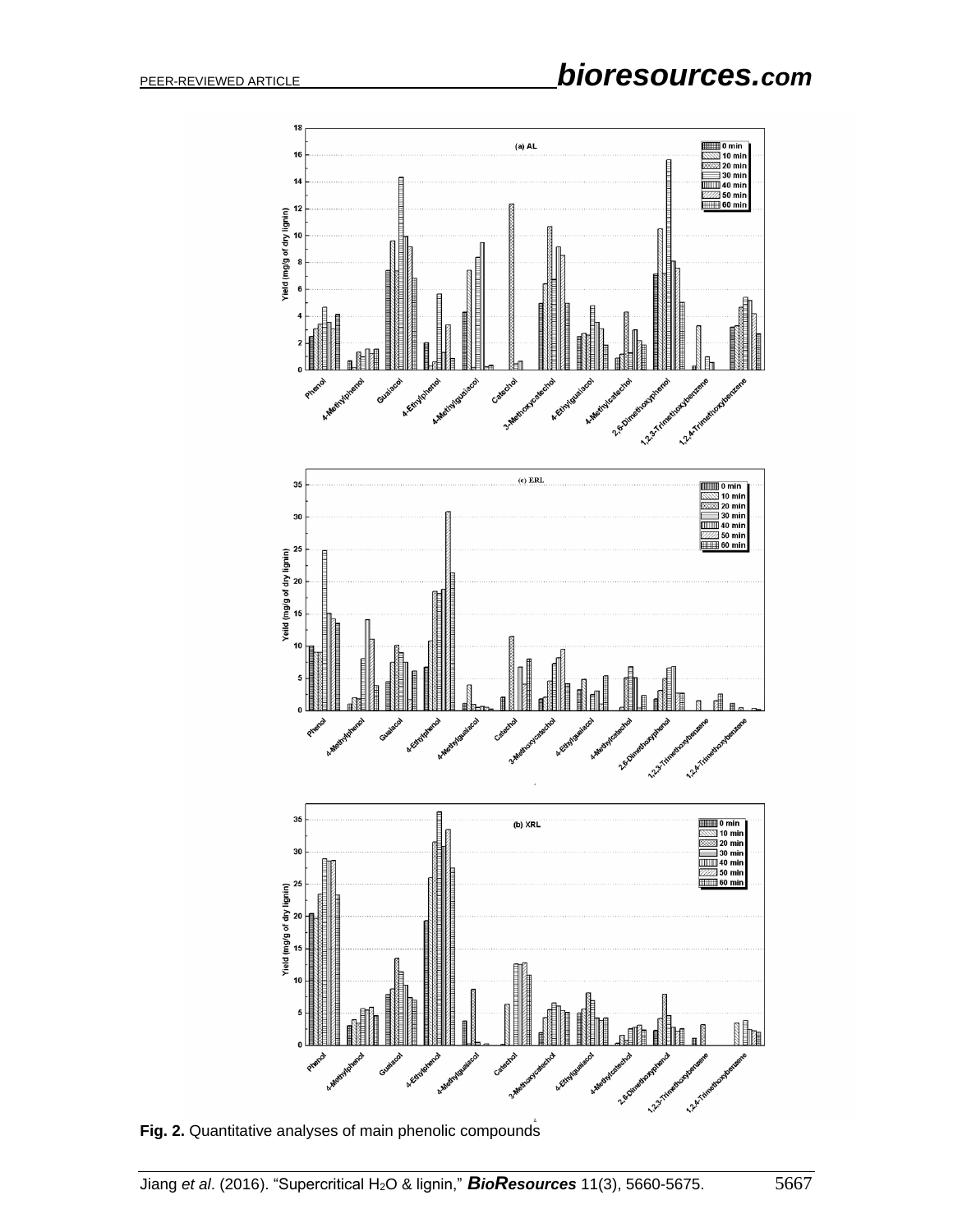

**Fig. 2.** Quantitative analyses of main phenolic compounds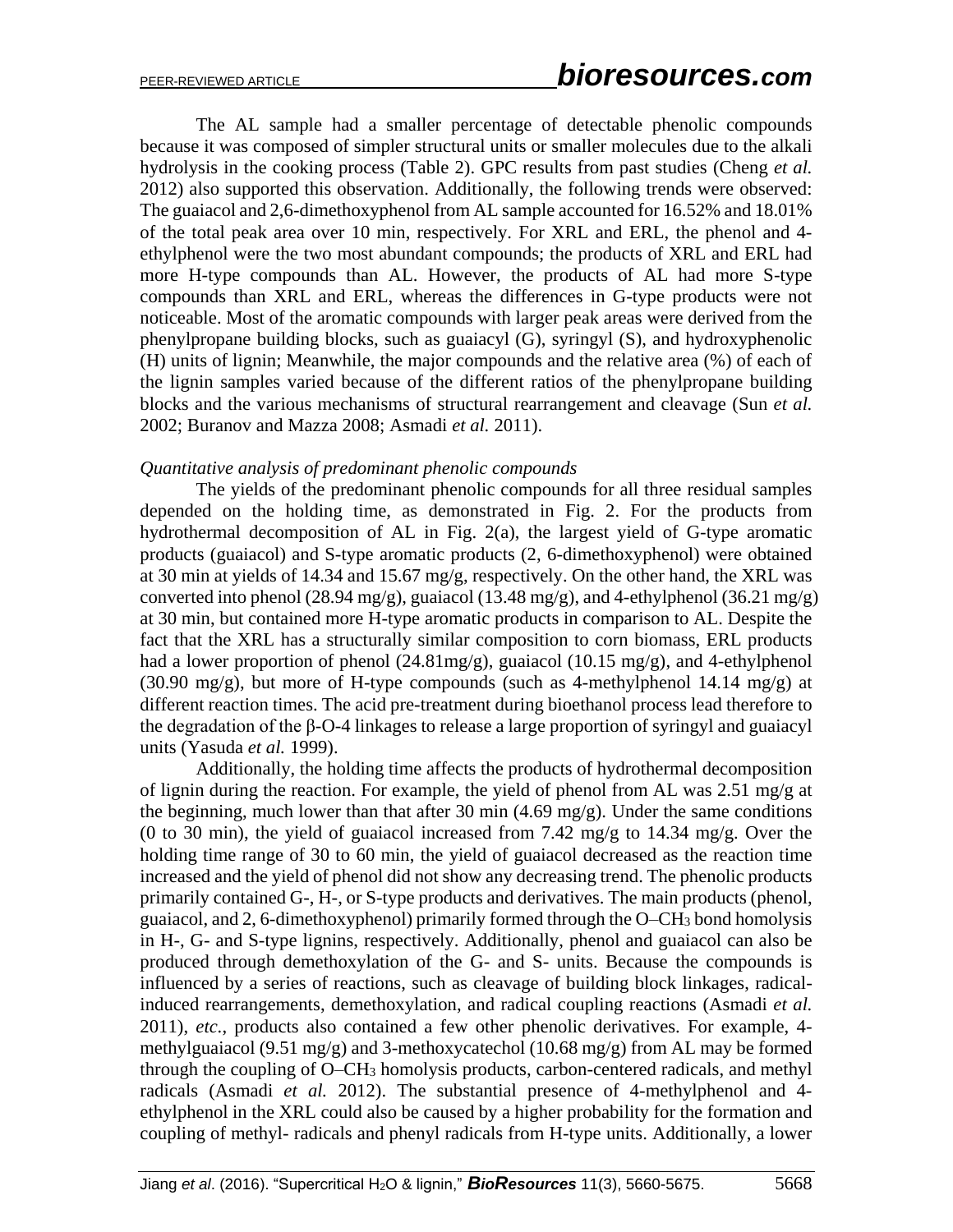The AL sample had a smaller percentage of detectable phenolic compounds because it was composed of simpler structural units or smaller molecules due to the alkali hydrolysis in the cooking process (Table 2). GPC results from past studies (Cheng *et al.* 2012) also supported this observation. Additionally, the following trends were observed: The guaiacol and 2,6-dimethoxyphenol from AL sample accounted for 16.52% and 18.01% of the total peak area over 10 min, respectively. For XRL and ERL, the phenol and 4 ethylphenol were the two most abundant compounds; the products of XRL and ERL had more H-type compounds than AL. However, the products of AL had more S-type compounds than XRL and ERL, whereas the differences in G-type products were not noticeable. Most of the aromatic compounds with larger peak areas were derived from the phenylpropane building blocks, such as guaiacyl (G), syringyl (S), and hydroxyphenolic (H) units of lignin; Meanwhile, the major compounds and the relative area (%) of each of the lignin samples varied because of the different ratios of the phenylpropane building blocks and the various mechanisms of structural rearrangement and cleavage (Sun *et al.* 2002; Buranov and Mazza 2008; Asmadi *et al.* 2011).

#### *Quantitative analysis of predominant phenolic compounds*

The yields of the predominant phenolic compounds for all three residual samples depended on the holding time, as demonstrated in Fig. 2. For the products from hydrothermal decomposition of AL in Fig. 2(a), the largest yield of G-type aromatic products (guaiacol) and S-type aromatic products (2, 6-dimethoxyphenol) were obtained at 30 min at yields of 14.34 and 15.67 mg/g, respectively. On the other hand, the XRL was converted into phenol (28.94 mg/g), guaiacol (13.48 mg/g), and 4-ethylphenol (36.21 mg/g) at 30 min, but contained more H-type aromatic products in comparison to AL. Despite the fact that the XRL has a structurally similar composition to corn biomass, ERL products had a lower proportion of phenol (24.81mg/g), guaiacol (10.15 mg/g), and 4-ethylphenol (30.90 mg/g), but more of H-type compounds (such as 4-methylphenol 14.14 mg/g) at different reaction times. The acid pre-treatment during bioethanol process lead therefore to the degradation of the β-O-4 linkages to release a large proportion of syringyl and guaiacyl units (Yasuda *et al.* 1999).

Additionally, the holding time affects the products of hydrothermal decomposition of lignin during the reaction. For example, the yield of phenol from AL was 2.51 mg/g at the beginning, much lower than that after 30 min  $(4.69 \text{ mg/g})$ . Under the same conditions (0 to 30 min), the yield of guaiacol increased from 7.42 mg/g to 14.34 mg/g. Over the holding time range of 30 to 60 min, the yield of guaiacol decreased as the reaction time increased and the yield of phenol did not show any decreasing trend. The phenolic products primarily contained G-, H-, or S-type products and derivatives. The main products (phenol, guaiacol, and 2, 6-dimethoxyphenol) primarily formed through the O–CH<sup>3</sup> bond homolysis in H-, G- and S-type lignins, respectively. Additionally, phenol and guaiacol can also be produced through demethoxylation of the G- and S- units. Because the compounds is influenced by a series of reactions, such as cleavage of building block linkages, radicalinduced rearrangements, demethoxylation, and radical coupling reactions (Asmadi *et al.* 2011), *etc.*, products also contained a few other phenolic derivatives. For example, 4 methylguaiacol (9.51 mg/g) and 3-methoxycatechol (10.68 mg/g) from AL may be formed through the coupling of O–CH<sup>3</sup> homolysis products, carbon-centered radicals, and methyl radicals (Asmadi *et al.* 2012). The substantial presence of 4-methylphenol and 4 ethylphenol in the XRL could also be caused by a higher probability for the formation and coupling of methyl- radicals and phenyl radicals from H-type units. Additionally, a lower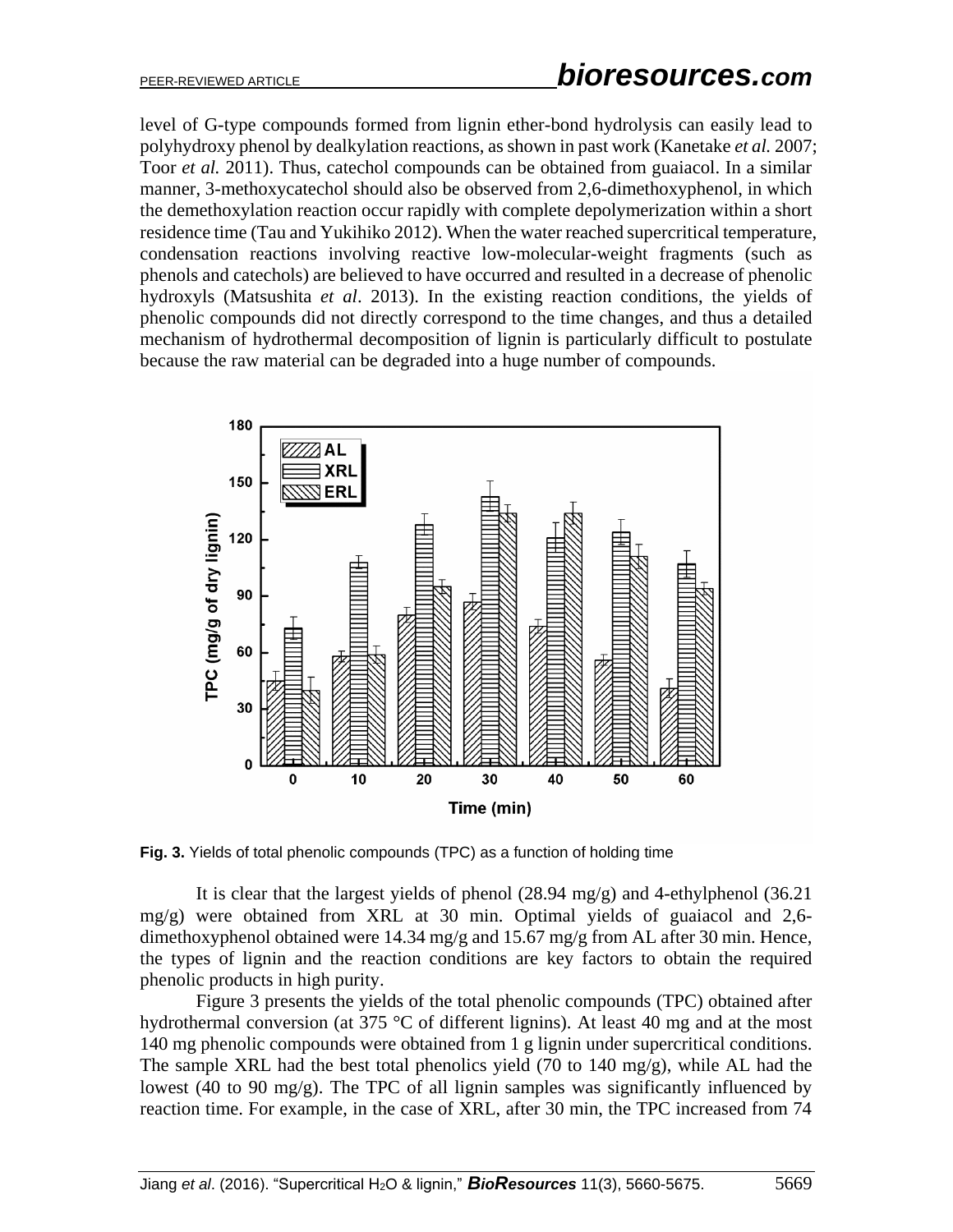level of G-type compounds formed from lignin ether-bond hydrolysis can easily lead to polyhydroxy phenol by dealkylation reactions, as shown in past work (Kanetake *et al.* 2007; Toor *et al.* 2011). Thus, catechol compounds can be obtained from guaiacol. In a similar manner, 3-methoxycatechol should also be observed from 2,6-dimethoxyphenol, in which the demethoxylation reaction occur rapidly with complete depolymerization within a short residence time (Tau and Yukihiko 2012). When the water reached supercritical temperature, condensation reactions involving reactive low-molecular-weight fragments (such as phenols and catechols) are believed to have occurred and resulted in a decrease of phenolic hydroxyls (Matsushita *et al*. 2013). In the existing reaction conditions, the yields of phenolic compounds did not directly correspond to the time changes, and thus a detailed mechanism of hydrothermal decomposition of lignin is particularly difficult to postulate because the raw material can be degraded into a huge number of compounds.



**Fig. 3.** Yields of total phenolic compounds (TPC) as a function of holding time

It is clear that the largest yields of phenol  $(28.94 \text{ mg/g})$  and 4-ethylphenol  $(36.21 \text{ g})$ mg/g) were obtained from XRL at 30 min. Optimal yields of guaiacol and 2,6 dimethoxyphenol obtained were 14.34 mg/g and 15.67 mg/g from AL after 30 min. Hence, the types of lignin and the reaction conditions are key factors to obtain the required phenolic products in high purity.

Figure 3 presents the yields of the total phenolic compounds (TPC) obtained after hydrothermal conversion (at 375 °C of different lignins). At least 40 mg and at the most 140 mg phenolic compounds were obtained from 1 g lignin under supercritical conditions. The sample XRL had the best total phenolics yield (70 to 140 mg/g), while AL had the lowest (40 to 90 mg/g). The TPC of all lignin samples was significantly influenced by reaction time. For example, in the case of XRL, after 30 min, the TPC increased from 74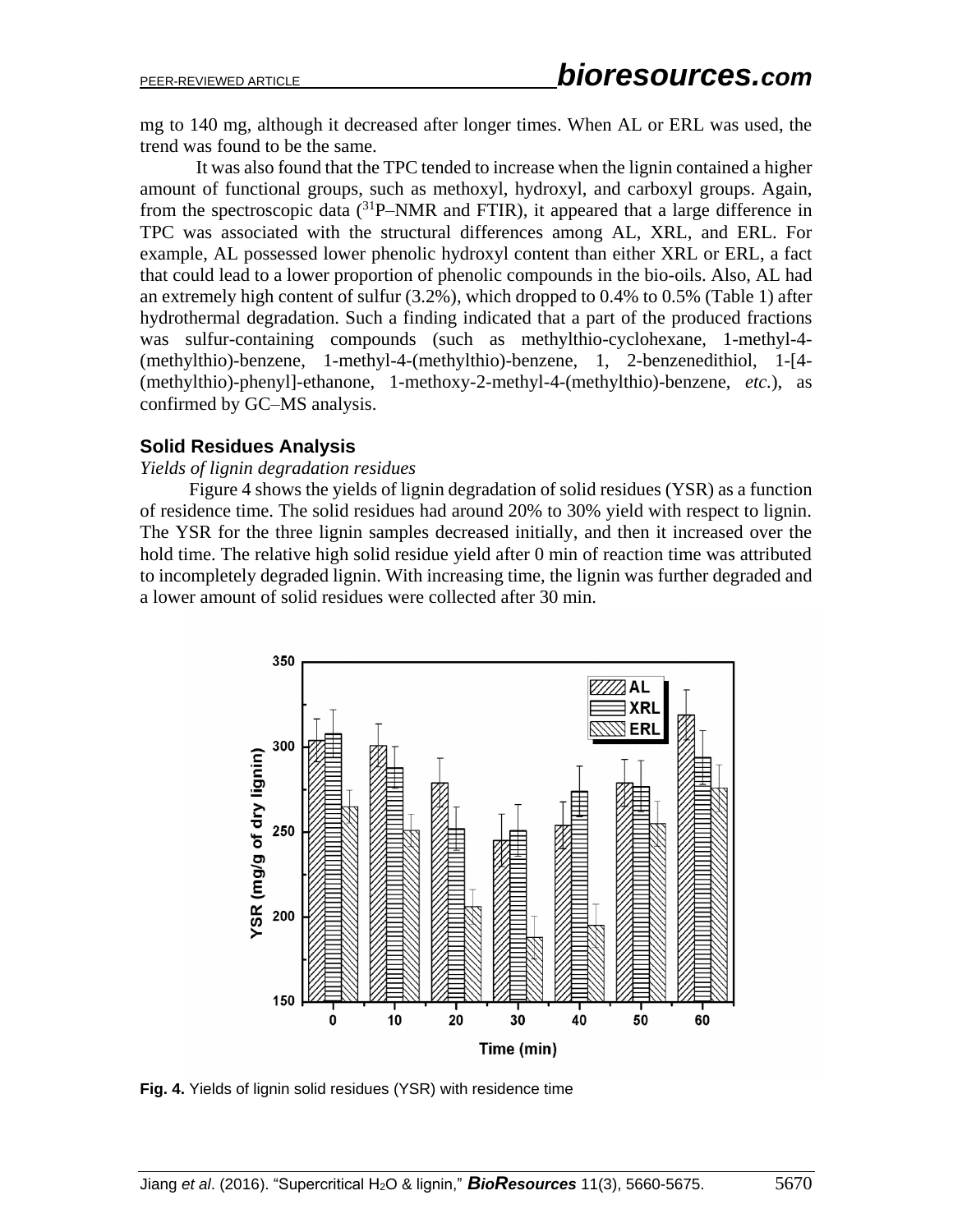mg to 140 mg, although it decreased after longer times. When AL or ERL was used, the trend was found to be the same.

It was also found that the TPC tended to increase when the lignin contained a higher amount of functional groups, such as methoxyl, hydroxyl, and carboxyl groups. Again, from the spectroscopic data  $(^{31}P- NMR$  and FTIR), it appeared that a large difference in TPC was associated with the structural differences among AL, XRL, and ERL. For example, AL possessed lower phenolic hydroxyl content than either XRL or ERL, a fact that could lead to a lower proportion of phenolic compounds in the bio-oils. Also, AL had an extremely high content of sulfur (3.2%), which dropped to 0.4% to 0.5% (Table 1) after hydrothermal degradation. Such a finding indicated that a part of the produced fractions was sulfur-containing compounds (such as methylthio-cyclohexane, 1-methyl-4- (methylthio)-benzene, 1-methyl-4-(methylthio)-benzene, 1, 2-benzenedithiol, 1-[4- (methylthio)-phenyl]-ethanone, 1-methoxy-2-methyl-4-(methylthio)-benzene, *etc.*), as confirmed by GC–MS analysis.

#### **Solid Residues Analysis**

#### *Yields of lignin degradation residues*

Figure 4 shows the yields of lignin degradation of solid residues (YSR) as a function of residence time. The solid residues had around 20% to 30% yield with respect to lignin. The YSR for the three lignin samples decreased initially, and then it increased over the hold time. The relative high solid residue yield after 0 min of reaction time was attributed to incompletely degraded lignin. With increasing time, the lignin was further degraded and a lower amount of solid residues were collected after 30 min.



**Fig. 4.** Yields of lignin solid residues (YSR) with residence time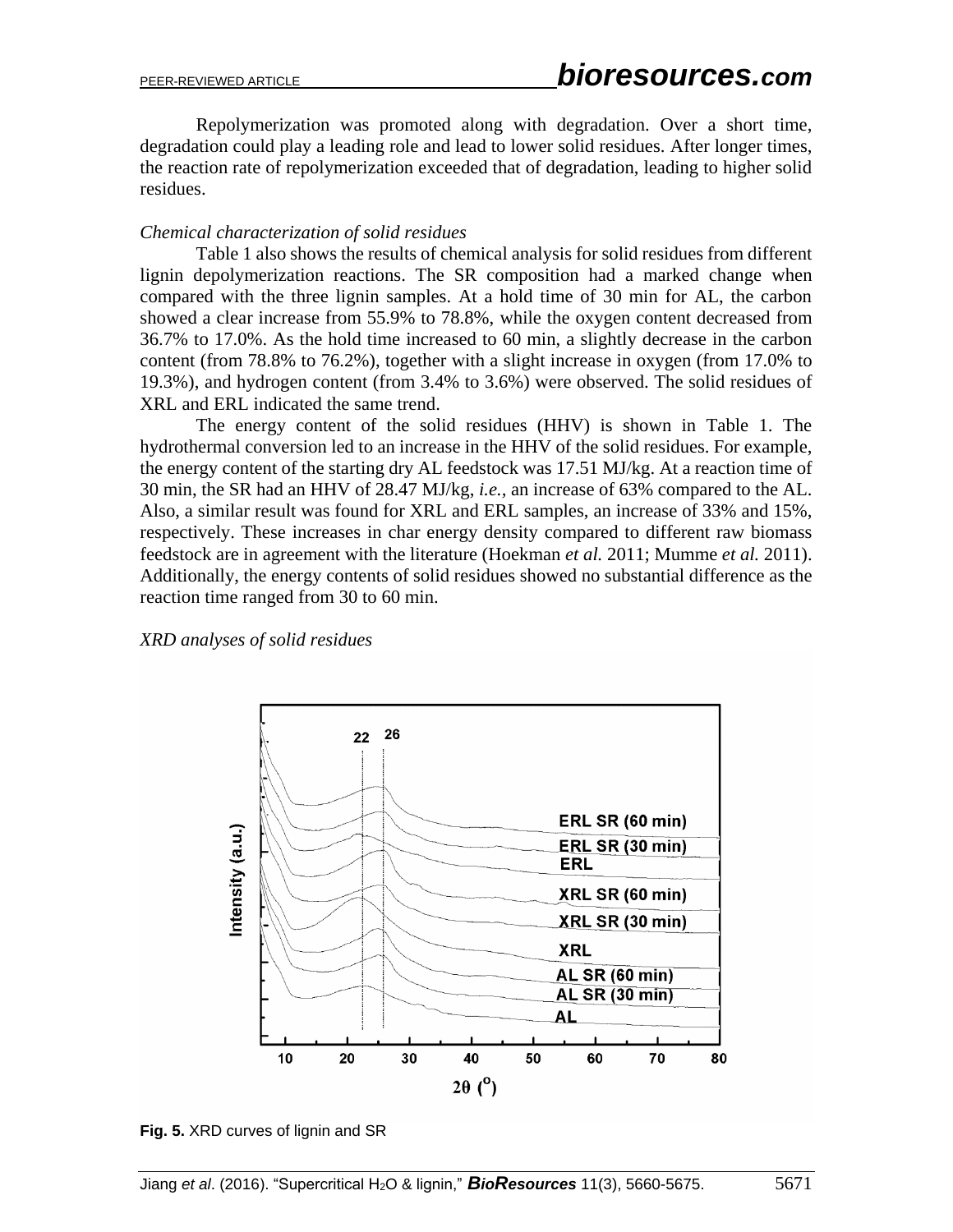Repolymerization was promoted along with degradation. Over a short time, degradation could play a leading role and lead to lower solid residues. After longer times, the reaction rate of repolymerization exceeded that of degradation, leading to higher solid residues.

#### *Chemical characterization of solid residues*

Table 1 also shows the results of chemical analysis for solid residues from different lignin depolymerization reactions. The SR composition had a marked change when compared with the three lignin samples. At a hold time of 30 min for AL, the carbon showed a clear increase from 55.9% to 78.8%, while the oxygen content decreased from 36.7% to 17.0%. As the hold time increased to 60 min, a slightly decrease in the carbon content (from 78.8% to 76.2%), together with a slight increase in oxygen (from 17.0% to 19.3%), and hydrogen content (from 3.4% to 3.6%) were observed. The solid residues of XRL and ERL indicated the same trend.

The energy content of the solid residues (HHV) is shown in Table 1. The hydrothermal conversion led to an increase in the HHV of the solid residues. For example, the energy content of the starting dry AL feedstock was 17.51 MJ/kg. At a reaction time of 30 min, the SR had an HHV of 28.47 MJ/kg, *i.e.,* an increase of 63% compared to the AL. Also, a similar result was found for XRL and ERL samples, an increase of 33% and 15%, respectively. These increases in char energy density compared to different raw biomass feedstock are in agreement with the literature (Hoekman *et al.* 2011; Mumme *et al.* 2011). Additionally, the energy contents of solid residues showed no substantial difference as the reaction time ranged from 30 to 60 min.

*XRD analyses of solid residues*



**Fig. 5.** XRD curves of lignin and SR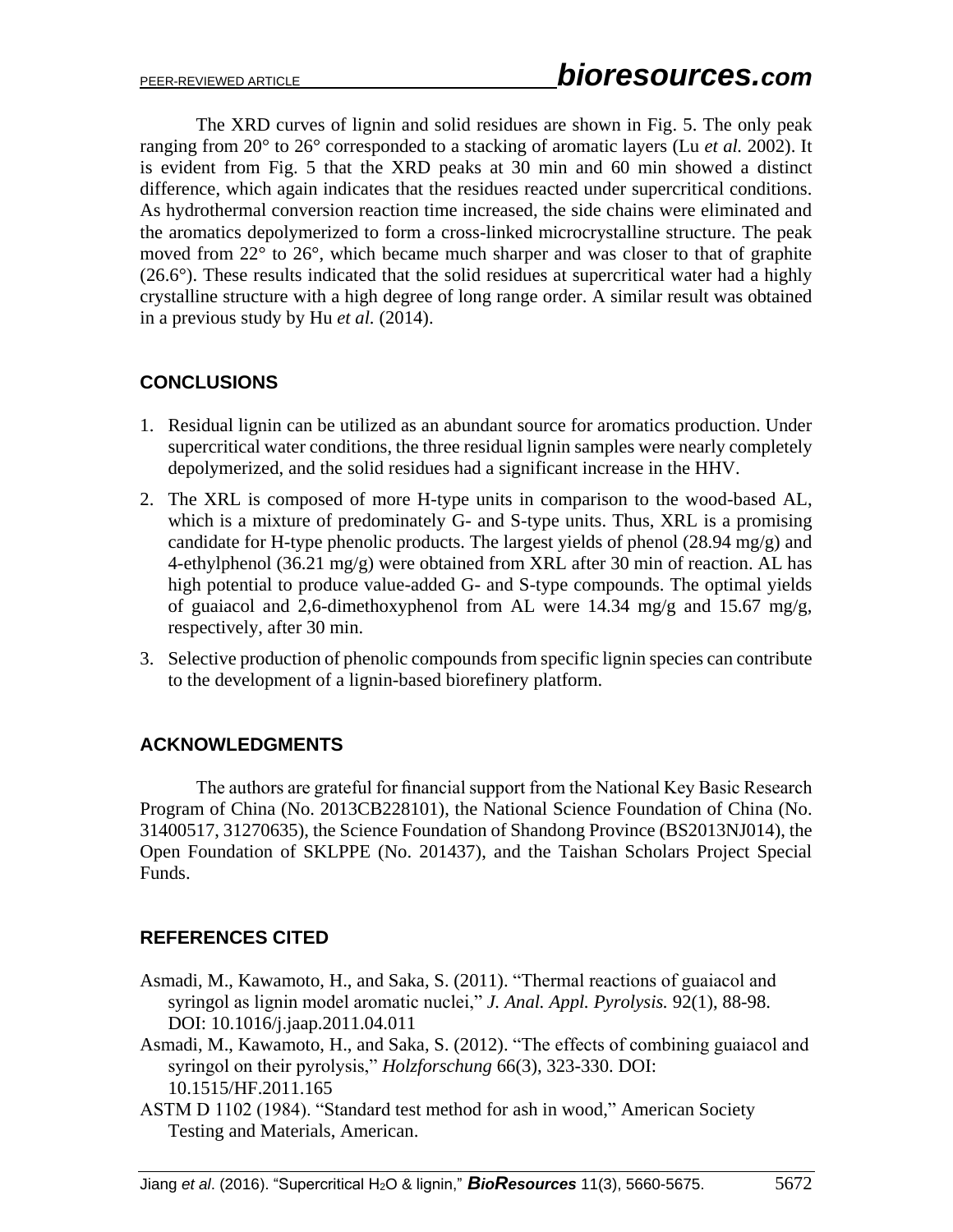The XRD curves of lignin and solid residues are shown in Fig. 5. The only peak ranging from 20° to 26° corresponded to a stacking of aromatic layers (Lu *et al.* 2002). It is evident from Fig. 5 that the XRD peaks at 30 min and 60 min showed a distinct difference, which again indicates that the residues reacted under supercritical conditions. As hydrothermal conversion reaction time increased, the side chains were eliminated and the aromatics depolymerized to form a cross-linked microcrystalline structure. The peak moved from 22° to 26°, which became much sharper and was closer to that of graphite  $(26.6^{\circ})$ . These results indicated that the solid residues at supercritical water had a highly crystalline structure with a high degree of long range order. A similar result was obtained in a previous study by Hu *et al.* (2014).

# **CONCLUSIONS**

- 1. Residual lignin can be utilized as an abundant source for aromatics production. Under supercritical water conditions, the three residual lignin samples were nearly completely depolymerized, and the solid residues had a significant increase in the HHV.
- 2. The XRL is composed of more H-type units in comparison to the wood-based AL, which is a mixture of predominately G- and S-type units. Thus, XRL is a promising candidate for H-type phenolic products. The largest yields of phenol (28.94 mg/g) and 4-ethylphenol (36.21 mg/g) were obtained from XRL after 30 min of reaction. AL has high potential to produce value-added G- and S-type compounds. The optimal yields of guaiacol and 2,6-dimethoxyphenol from AL were 14.34 mg/g and 15.67 mg/g, respectively, after 30 min.
- 3. Selective production of phenolic compounds from specific lignin species can contribute to the development of a lignin-based biorefinery platform.

# **ACKNOWLEDGMENTS**

The authors are grateful for financial support from the National Key Basic Research Program of China (No. 2013CB228101), the National Science Foundation of China (No. 31400517, 31270635), the Science Foundation of Shandong Province (BS2013NJ014), the Open Foundation of SKLPPE (No. 201437), and the Taishan Scholars Project Special Funds.

# **REFERENCES CITED**

- Asmadi, M., Kawamoto, H., and Saka, S. (2011). "Thermal reactions of guaiacol and syringol as lignin model aromatic nuclei," *J. Anal. Appl. Pyrolysis.* 92(1), 88-98. DOI: 10.1016/j.jaap.2011.04.011
- Asmadi, M., Kawamoto, H., and Saka, S. (2012). "The effects of combining guaiacol and syringol on their pyrolysis," *Holzforschung* 66(3), 323-330. DOI: 10.1515/HF.2011.165
- ASTM D 1102 (1984). "Standard test method for ash in wood," American Society Testing and Materials, American.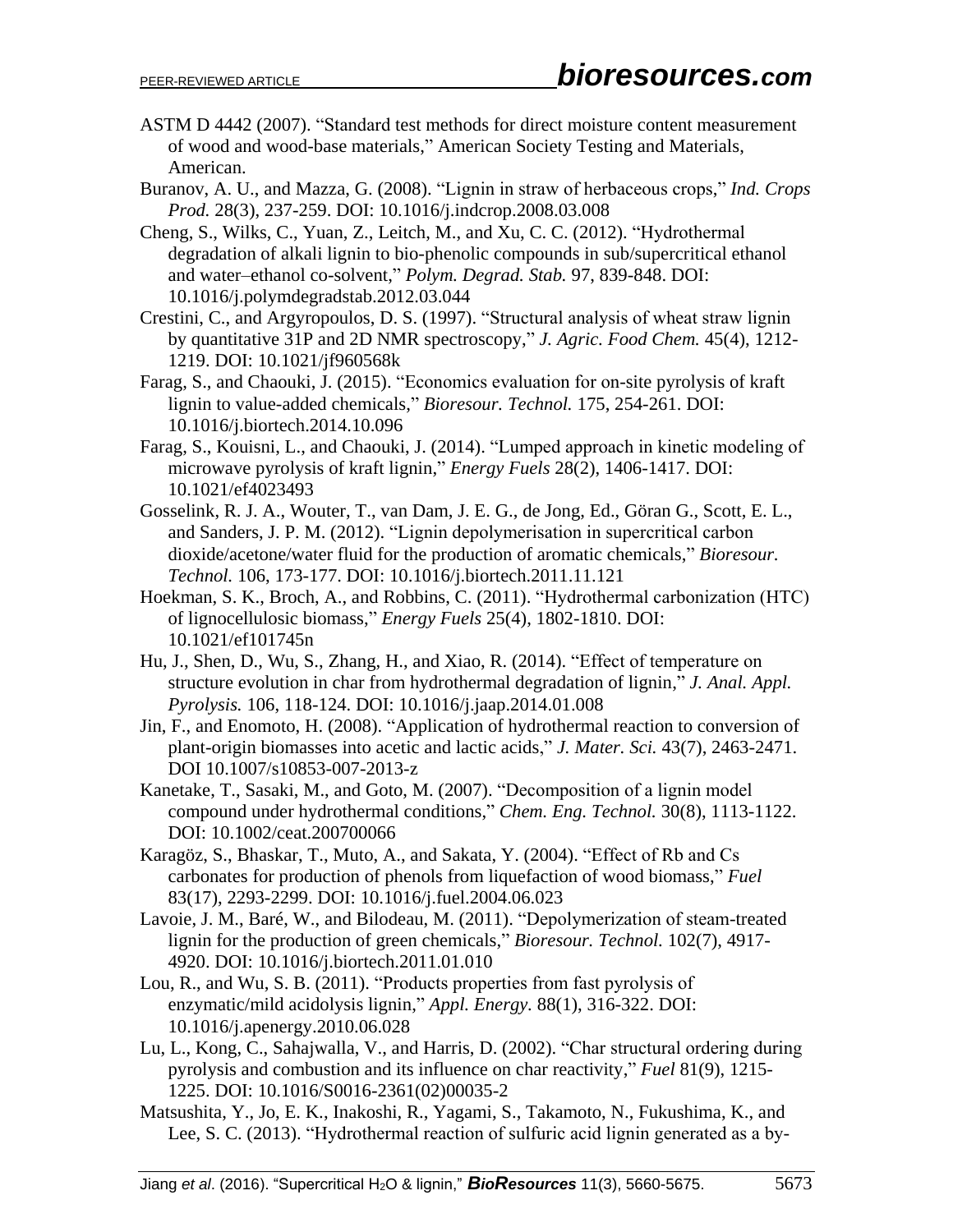- ASTM D 4442 (2007). "Standard test methods for direct moisture content measurement of wood and wood-base materials," American Society Testing and Materials, American.
- Buranov, A. U., and Mazza, G. (2008). "Lignin in straw of herbaceous crops," *Ind. Crops Prod.* 28(3), 237-259. DOI: 10.1016/j.indcrop.2008.03.008
- Cheng, S., Wilks, C., Yuan, Z., Leitch, M., and Xu, C. C. (2012). "Hydrothermal degradation of alkali lignin to bio-phenolic compounds in sub/supercritical ethanol and water–ethanol co-solvent," *Polym. Degrad. Stab.* 97, 839-848. DOI: 10.1016/j.polymdegradstab.2012.03.044
- Crestini, C., and Argyropoulos, D. S. (1997). "Structural analysis of wheat straw lignin by quantitative 31P and 2D NMR spectroscopy," *J. Agric. Food Chem.* 45(4), 1212- 1219. DOI: 10.1021/jf960568k
- Farag, S., and Chaouki, J. (2015). "Economics evaluation for on-site pyrolysis of kraft lignin to value-added chemicals," *Bioresour. Technol.* 175, 254-261. DOI: 10.1016/j.biortech.2014.10.096
- Farag, S., Kouisni, L., and Chaouki, J. (2014). "Lumped approach in kinetic modeling of microwave pyrolysis of kraft lignin," *Energy Fuels* 28(2), 1406-1417. DOI: 10.1021/ef4023493
- Gosselink, R. J. A., Wouter, T., van Dam, J. E. G., de Jong, Ed., Göran G., Scott, E. L., and Sanders, J. P. M. (2012). "Lignin depolymerisation in supercritical carbon dioxide/acetone/water fluid for the production of aromatic chemicals," *Bioresour. Technol.* 106, 173-177. DOI: 10.1016/j.biortech.2011.11.121
- Hoekman, S. K., Broch, A., and Robbins, C. (2011). "Hydrothermal carbonization (HTC) of lignocellulosic biomass," *Energy Fuels* 25(4), 1802-1810. DOI: 10.1021/ef101745n
- Hu, J., Shen, D., Wu, S., Zhang, H., and Xiao, R. (2014). "Effect of temperature on structure evolution in char from hydrothermal degradation of lignin," *J. Anal. Appl. Pyrolysis.* 106, 118-124. DOI: 10.1016/j.jaap.2014.01.008
- Jin, F., and Enomoto, H. (2008). "Application of hydrothermal reaction to conversion of plant-origin biomasses into acetic and lactic acids," *J. Mater. Sci.* 43(7), 2463-2471. DOI 10.1007/s10853-007-2013-z
- Kanetake, T., Sasaki, M., and Goto, M. (2007). "Decomposition of a lignin model compound under hydrothermal conditions," *Chem. Eng. Technol.* 30(8), 1113-1122. DOI: 10.1002/ceat.200700066
- Karagöz, S., Bhaskar, T., Muto, A., and Sakata, Y. (2004). "Effect of Rb and Cs carbonates for production of phenols from liquefaction of wood biomass," *Fuel* 83(17), 2293-2299. DOI: 10.1016/j.fuel.2004.06.023
- Lavoie, J. M., Baré, W., and Bilodeau, M. (2011). "Depolymerization of steam-treated lignin for the production of green chemicals," *Bioresour. Technol.* 102(7), 4917- 4920. DOI: 10.1016/j.biortech.2011.01.010
- Lou, R., and Wu, S. B. (2011). "Products properties from fast pyrolysis of enzymatic/mild acidolysis lignin," *Appl. Energy.* 88(1), 316-322. DOI: 10.1016/j.apenergy.2010.06.028
- Lu, L., Kong, C., Sahajwalla, V., and Harris, D. (2002). "Char structural ordering during pyrolysis and combustion and its influence on char reactivity," *Fuel* 81(9), 1215- 1225. DOI: 10.1016/S0016-2361(02)00035-2
- Matsushita, Y., Jo, E. K., Inakoshi, R., Yagami, S., Takamoto, N., Fukushima, K., and Lee, S. C. (2013). "Hydrothermal reaction of sulfuric acid lignin generated as a by-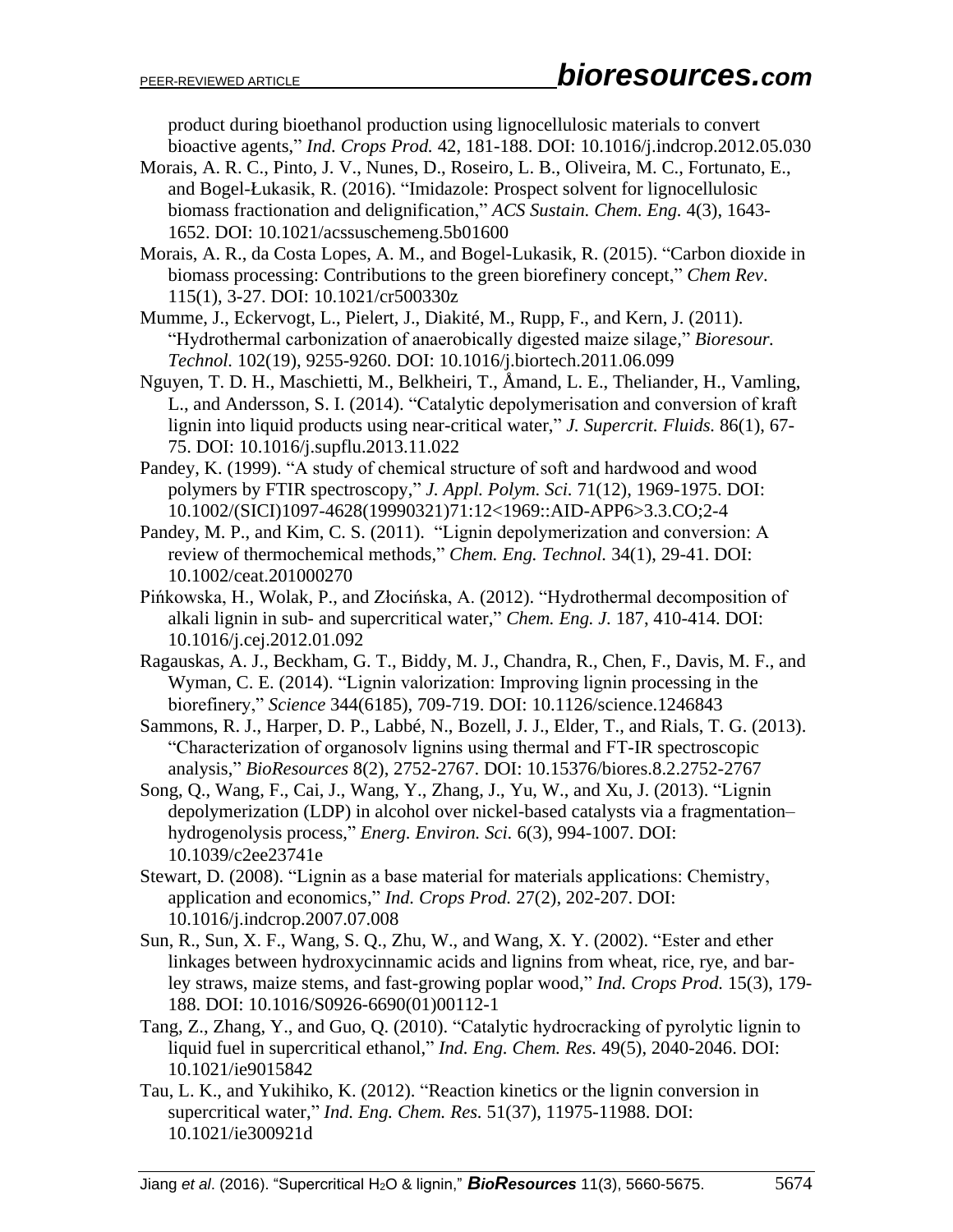product during bioethanol production using lignocellulosic materials to convert bioactive agents," *Ind. Crops Prod.* 42, 181-188. DOI: 10.1016/j.indcrop.2012.05.030

- Morais, A. R. C., Pinto, J. V., Nunes, D., Roseiro, L. B., Oliveira, M. C., Fortunato, E., and Bogel-Łukasik, R. (2016). "Imidazole: Prospect solvent for lignocellulosic biomass fractionation and delignification," *ACS Sustain. Chem. Eng.* 4(3), 1643- 1652. DOI: 10.1021/acssuschemeng.5b01600
- Morais, A. R., da Costa Lopes, A. M., and Bogel-Lukasik, R. (2015). "Carbon dioxide in biomass processing: Contributions to the green biorefinery concept," *Chem Rev*. 115(1), 3-27. DOI: 10.1021/cr500330z
- Mumme, J., Eckervogt, L., Pielert, J., Diakité, M., Rupp, F., and Kern, J. (2011). "Hydrothermal carbonization of anaerobically digested maize silage," *Bioresour. Technol.* 102(19), 9255-9260. DOI: 10.1016/j.biortech.2011.06.099
- Nguyen, T. D. H., Maschietti, M., Belkheiri, T., Åmand, L. E., Theliander, H., Vamling, L., and Andersson, S. I. (2014). "Catalytic depolymerisation and conversion of kraft lignin into liquid products using near-critical water," *J. Supercrit. Fluids.* 86(1), 67- 75. DOI: 10.1016/j.supflu.2013.11.022
- Pandey, K. (1999). "A study of chemical structure of soft and hardwood and wood polymers by FTIR spectroscopy," *J. Appl. Polym. Sci.* 71(12), 1969-1975. DOI: 10.1002/(SICI)1097-4628(19990321)71:12<1969::AID-APP6>3.3.CO;2-4
- Pandey, M. P., and Kim, C. S. (2011). "Lignin depolymerization and conversion: A review of thermochemical methods," *Chem. Eng. Technol.* 34(1), 29-41. DOI: 10.1002/ceat.201000270
- Pińkowska, H., Wolak, P., and Złocińska, A. (2012). "Hydrothermal decomposition of alkali lignin in sub- and supercritical water," *Chem. Eng. J.* 187, 410-414. DOI: 10.1016/j.cej.2012.01.092
- Ragauskas, A. J., Beckham, G. T., Biddy, M. J., Chandra, R., Chen, F., Davis, M. F., and Wyman, C. E. (2014). "Lignin valorization: Improving lignin processing in the biorefinery," *Science* 344(6185), 709-719. DOI: 10.1126/science.1246843
- Sammons, R. J., Harper, D. P., Labbé, N., Bozell, J. J., Elder, T., and Rials, T. G. (2013). "Characterization of organosolv lignins using thermal and FT-IR spectroscopic analysis," *BioResources* 8(2), 2752-2767. DOI: 10.15376/biores.8.2.2752-2767
- Song, Q., Wang, F., Cai, J., Wang, Y., Zhang, J., Yu, W., and Xu, J. (2013). "Lignin depolymerization (LDP) in alcohol over nickel-based catalysts via a fragmentation– hydrogenolysis process," *Energ. Environ. Sci.* 6(3), 994-1007. DOI: 10.1039/c2ee23741e
- Stewart, D. (2008). "Lignin as a base material for materials applications: Chemistry, application and economics," *Ind. Crops Prod.* 27(2), 202-207. DOI: 10.1016/j.indcrop.2007.07.008
- Sun, R., Sun, X. F., Wang, S. Q., Zhu, W., and Wang, X. Y. (2002). "Ester and ether linkages between hydroxycinnamic acids and lignins from wheat, rice, rye, and barley straws, maize stems, and fast-growing poplar wood," *Ind. Crops Prod.* 15(3), 179- 188. DOI: 10.1016/S0926-6690(01)00112-1
- Tang, Z., Zhang, Y., and Guo, Q. (2010). "Catalytic hydrocracking of pyrolytic lignin to liquid fuel in supercritical ethanol," *Ind. Eng. Chem. Res.* 49(5), 2040-2046. DOI: 10.1021/ie9015842
- Tau, L. K., and Yukihiko, K. (2012). "Reaction kinetics or the lignin conversion in supercritical water," *Ind. Eng. Chem. Res.* 51(37), 11975-11988. DOI: 10.1021/ie300921d